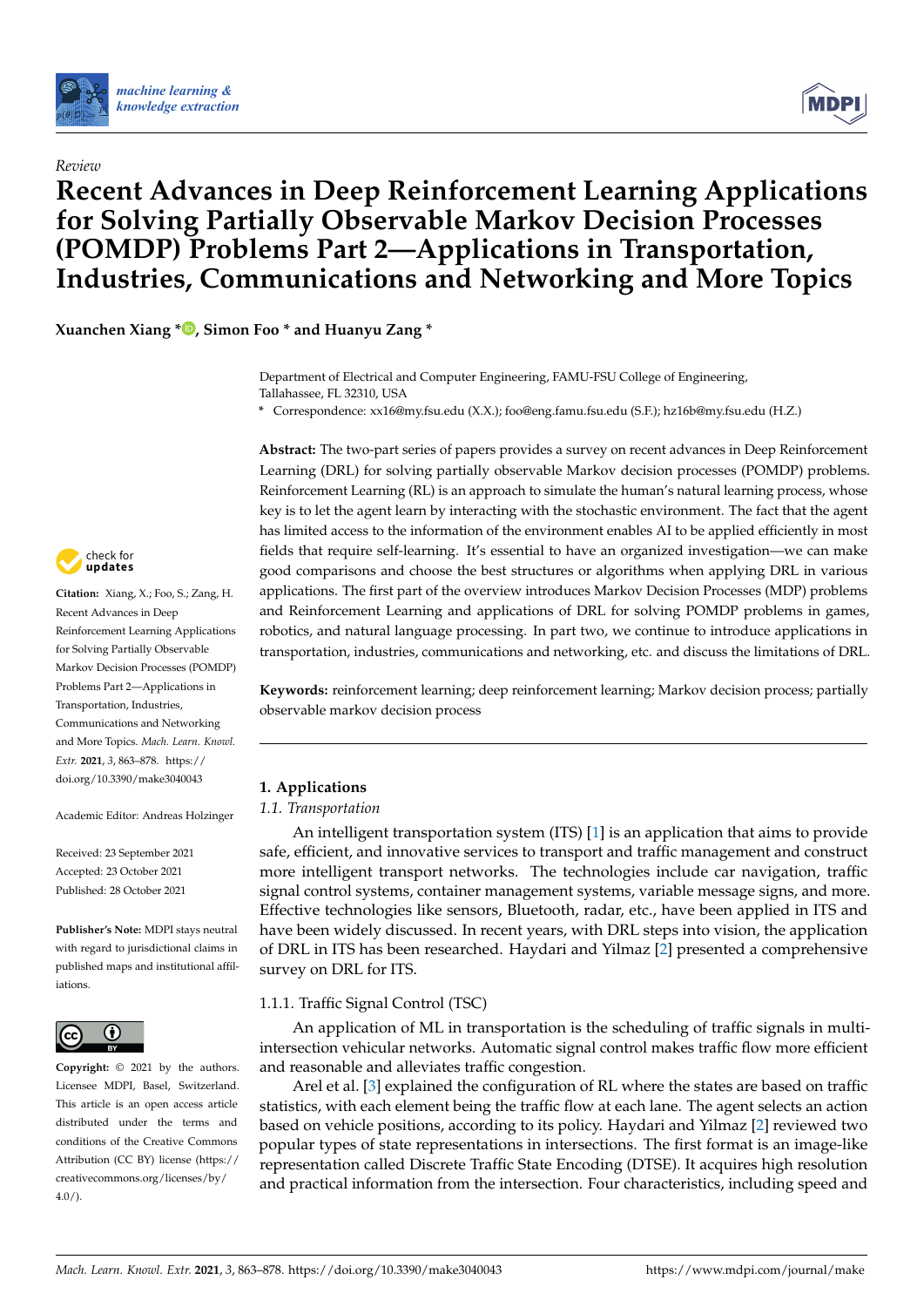

*Review*



# **Recent Advances in Deep Reinforcement Learning Applications for Solving Partially Observable Markov Decision Processes (POMDP) Problems Part 2—Applications in Transportation, Industries, Communications and Networking and More Topics**

**Xuanchen Xiang [\\*](https://orcid.org/0000-0002-4897-2111) , Simon Foo \* and Huanyu Zang \***

Department of Electrical and Computer Engineering, FAMU-FSU College of Engineering, Tallahassee, FL 32310, USA

**\*** Correspondence: xx16@my.fsu.edu (X.X.); foo@eng.famu.fsu.edu (S.F.); hz16b@my.fsu.edu (H.Z.)

**Abstract:** The two-part series of papers provides a survey on recent advances in Deep Reinforcement Learning (DRL) for solving partially observable Markov decision processes (POMDP) problems. Reinforcement Learning (RL) is an approach to simulate the human's natural learning process, whose key is to let the agent learn by interacting with the stochastic environment. The fact that the agent has limited access to the information of the environment enables AI to be applied efficiently in most fields that require self-learning. It's essential to have an organized investigation—we can make good comparisons and choose the best structures or algorithms when applying DRL in various applications. The first part of the overview introduces Markov Decision Processes (MDP) problems and Reinforcement Learning and applications of DRL for solving POMDP problems in games, robotics, and natural language processing. In part two, we continue to introduce applications in transportation, industries, communications and networking, etc. and discuss the limitations of DRL.

**Keywords:** reinforcement learning; deep reinforcement learning; Markov decision process; partially observable markov decision process

# **1. Applications**

## <span id="page-0-0"></span>*1.1. Transportation*

An intelligent transportation system (ITS) [\[1\]](#page-10-0) is an application that aims to provide safe, efficient, and innovative services to transport and traffic management and construct more intelligent transport networks. The technologies include car navigation, traffic signal control systems, container management systems, variable message signs, and more. Effective technologies like sensors, Bluetooth, radar, etc., have been applied in ITS and have been widely discussed. In recent years, with DRL steps into vision, the application of DRL in ITS has been researched. Haydari and Yilmaz [\[2\]](#page-10-1) presented a comprehensive survey on DRL for ITS.

## 1.1.1. Traffic Signal Control (TSC)

An application of ML in transportation is the scheduling of traffic signals in multiintersection vehicular networks. Automatic signal control makes traffic flow more efficient and reasonable and alleviates traffic congestion.

Arel et al. [\[3\]](#page-10-2) explained the configuration of RL where the states are based on traffic statistics, with each element being the traffic flow at each lane. The agent selects an action based on vehicle positions, according to its policy. Haydari and Yilmaz [\[2\]](#page-10-1) reviewed two popular types of state representations in intersections. The first format is an image-like representation called Discrete Traffic State Encoding (DTSE). It acquires high resolution and practical information from the intersection. Four characteristics, including speed and



**Citation:** Xiang, X.; Foo, S.; Zang, H. Recent Advances in Deep Reinforcement Learning Applications for Solving Partially Observable Markov Decision Processes (POMDP) Problems Part 2—Applications in Transportation, Industries, Communications and Networking and More Topics. *Mach. Learn. Knowl. Extr.* **2021**, *3*, 863–878. [https://](https://doi.org/10.3390/make3040043) [doi.org/10.3390/make3040043](https://doi.org/10.3390/make3040043)

Academic Editor: Andreas Holzinger

Received: 23 September 2021 Accepted: 23 October 2021 Published: 28 October 2021

**Publisher's Note:** MDPI stays neutral with regard to jurisdictional claims in published maps and institutional affiliations.



**Copyright:** © 2021 by the authors. Licensee MDPI, Basel, Switzerland. This article is an open access article distributed under the terms and conditions of the Creative Commons Attribution (CC BY) license (https:/[/](https://creativecommons.org/licenses/by/4.0/) [creativecommons.org/licenses/by/](https://creativecommons.org/licenses/by/4.0/)  $4.0/$ ).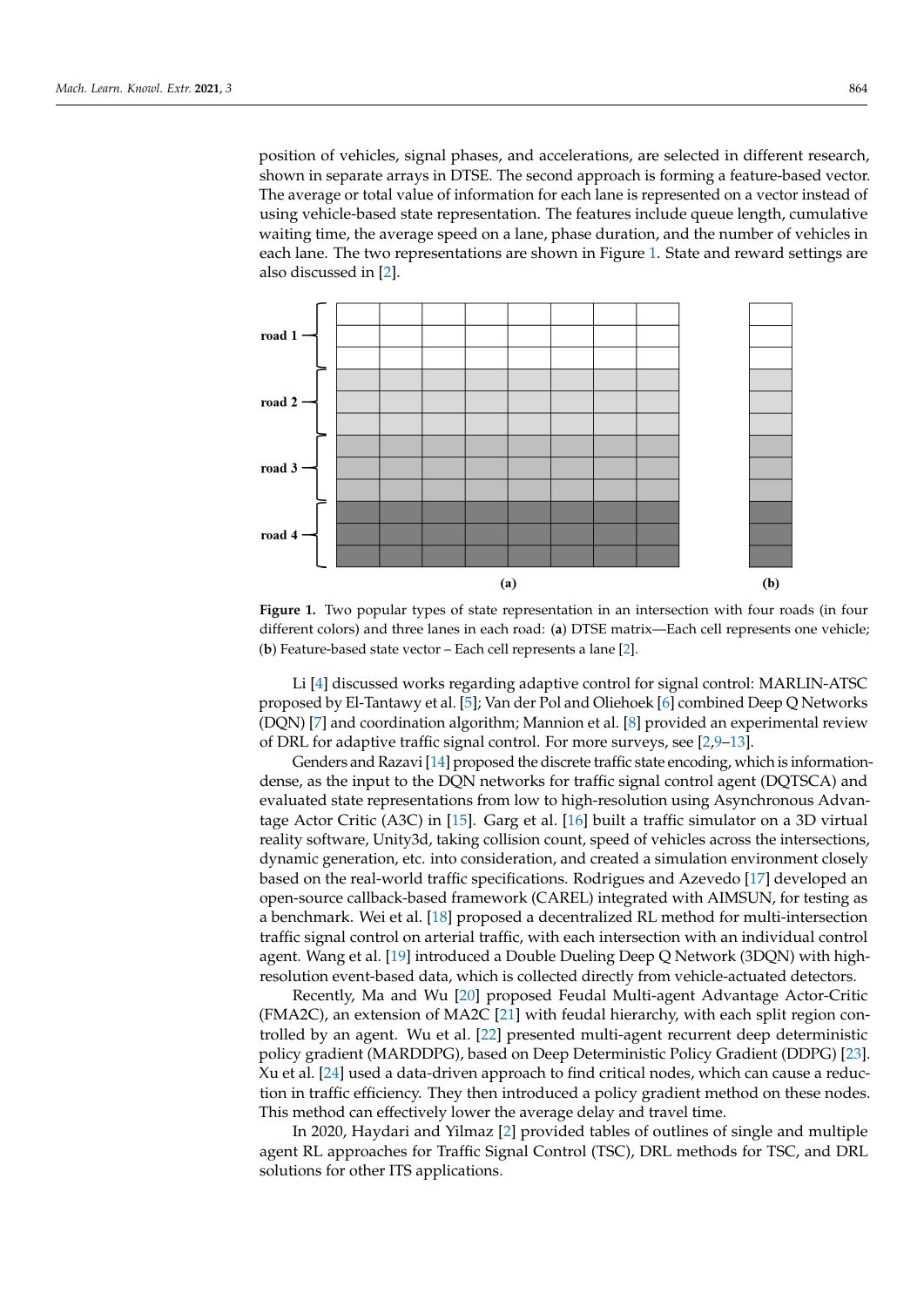position of vehicles, signal phases, and accelerations, are selected in different research, shown in separate arrays in DTSE. The second approach is forming a feature-based vector. The average or total value of information for each lane is represented on a vector instead of using vehicle-based state representation. The features include queue length, cumulative waiting time, the average speed on a lane, phase duration, and the number of vehicles in each lane. The two representations are shown in Figure [1.](#page-1-0) State and reward settings are also discussed in [\[2\]](#page-10-1).

<span id="page-1-0"></span>

**Figure 1.** Two popular types of state representation in an intersection with four roads (in four different colors) and three lanes in each road: (**a**) DTSE matrix—Each cell represents one vehicle; (**b**) Feature-based state vector – Each cell represents a lane [\[2\]](#page-10-1).

Li [\[4\]](#page-10-3) discussed works regarding adaptive control for signal control: MARLIN-ATSC proposed by El-Tantawy et al. [\[5\]](#page-10-4); Van der Pol and Oliehoek [\[6\]](#page-10-5) combined Deep Q Networks (DQN) [\[7\]](#page-10-6) and coordination algorithm; Mannion et al. [\[8\]](#page-10-7) provided an experimental review of DRL for adaptive traffic signal control. For more surveys, see [\[2](#page-10-1)[,9](#page-10-8)[–13\]](#page-10-9).

Genders and Razavi [\[14\]](#page-10-10) proposed the discrete traffic state encoding, which is informationdense, as the input to the DQN networks for traffic signal control agent (DQTSCA) and evaluated state representations from low to high-resolution using Asynchronous Advantage Actor Critic (A3C) in [\[15\]](#page-11-0). Garg et al. [\[16\]](#page-11-1) built a traffic simulator on a 3D virtual reality software, Unity3d, taking collision count, speed of vehicles across the intersections, dynamic generation, etc. into consideration, and created a simulation environment closely based on the real-world traffic specifications. Rodrigues and Azevedo [\[17\]](#page-11-2) developed an open-source callback-based framework (CAREL) integrated with AIMSUN, for testing as a benchmark. Wei et al. [\[18\]](#page-11-3) proposed a decentralized RL method for multi-intersection traffic signal control on arterial traffic, with each intersection with an individual control agent. Wang et al. [\[19\]](#page-11-4) introduced a Double Dueling Deep Q Network (3DQN) with highresolution event-based data, which is collected directly from vehicle-actuated detectors.

Recently, Ma and Wu [\[20\]](#page-11-5) proposed Feudal Multi-agent Advantage Actor-Critic (FMA2C), an extension of MA2C [\[21\]](#page-11-6) with feudal hierarchy, with each split region controlled by an agent. Wu et al. [\[22\]](#page-11-7) presented multi-agent recurrent deep deterministic policy gradient (MARDDPG), based on Deep Deterministic Policy Gradient (DDPG) [\[23\]](#page-11-8). Xu et al. [\[24\]](#page-11-9) used a data-driven approach to find critical nodes, which can cause a reduction in traffic efficiency. They then introduced a policy gradient method on these nodes. This method can effectively lower the average delay and travel time.

In 2020, Haydari and Yilmaz [\[2\]](#page-10-1) provided tables of outlines of single and multiple agent RL approaches for Traffic Signal Control (TSC), DRL methods for TSC, and DRL solutions for other ITS applications.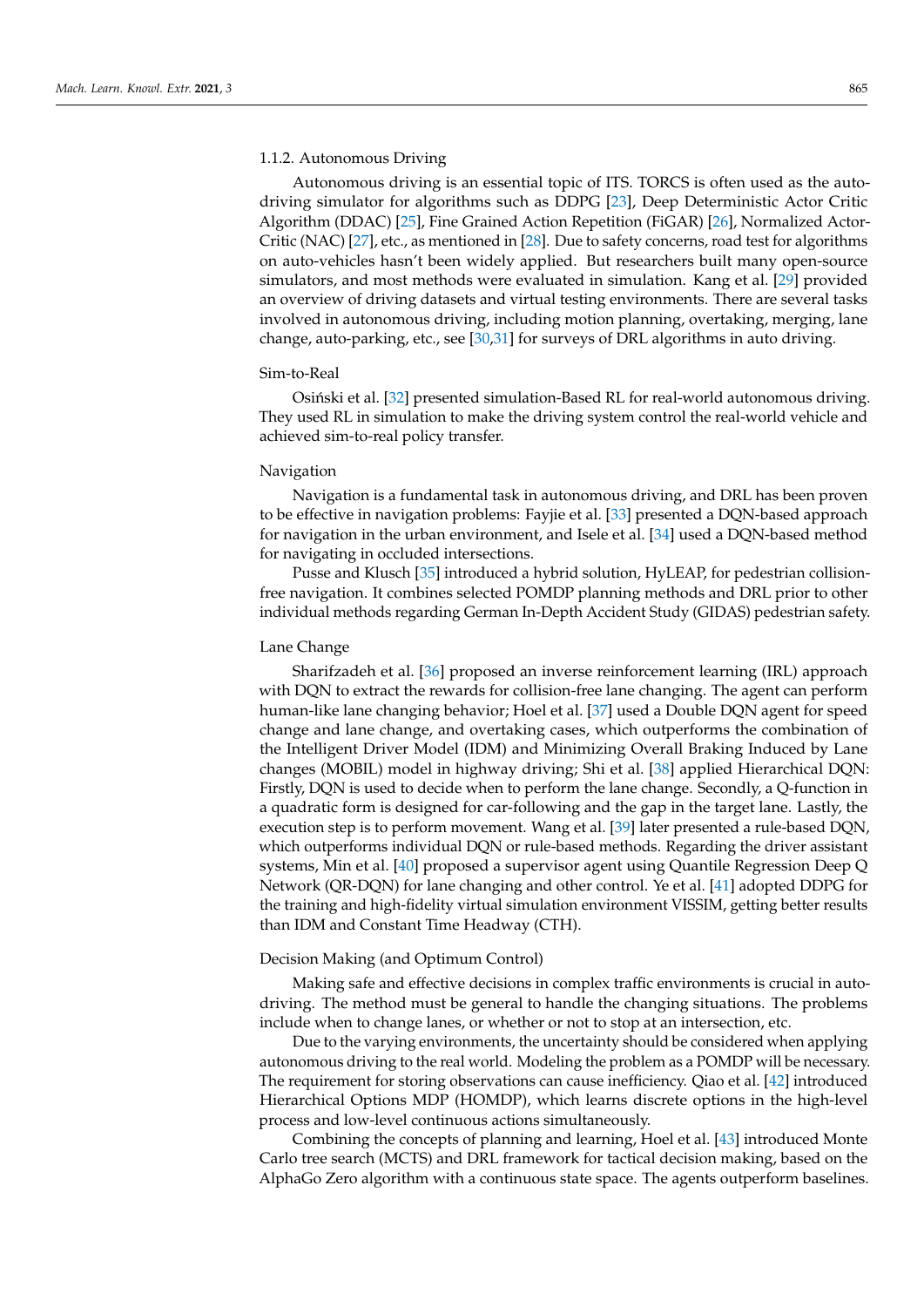#### 1.1.2. Autonomous Driving

Autonomous driving is an essential topic of ITS. TORCS is often used as the autodriving simulator for algorithms such as DDPG [\[23\]](#page-11-8), Deep Deterministic Actor Critic Algorithm (DDAC) [\[25\]](#page-11-10), Fine Grained Action Repetition (FiGAR) [\[26\]](#page-11-11), Normalized Actor-Critic (NAC) [\[27\]](#page-11-12), etc., as mentioned in [\[28\]](#page-11-13). Due to safety concerns, road test for algorithms on auto-vehicles hasn't been widely applied. But researchers built many open-source simulators, and most methods were evaluated in simulation. Kang et al. [\[29\]](#page-11-14) provided an overview of driving datasets and virtual testing environments. There are several tasks involved in autonomous driving, including motion planning, overtaking, merging, lane change, auto-parking, etc., see [\[30,](#page-11-15)[31\]](#page-11-16) for surveys of DRL algorithms in auto driving.

#### Sim-to-Real

Osiński et al. [\[32\]](#page-11-17) presented simulation-Based RL for real-world autonomous driving. They used RL in simulation to make the driving system control the real-world vehicle and achieved sim-to-real policy transfer.

## Navigation

Navigation is a fundamental task in autonomous driving, and DRL has been proven to be effective in navigation problems: Fayjie et al. [\[33\]](#page-11-18) presented a DQN-based approach for navigation in the urban environment, and Isele et al. [\[34\]](#page-11-19) used a DQN-based method for navigating in occluded intersections.

Pusse and Klusch [\[35\]](#page-11-20) introduced a hybrid solution, HyLEAP, for pedestrian collisionfree navigation. It combines selected POMDP planning methods and DRL prior to other individual methods regarding German In-Depth Accident Study (GIDAS) pedestrian safety.

#### Lane Change

Sharifzadeh et al. [\[36\]](#page-11-21) proposed an inverse reinforcement learning (IRL) approach with DQN to extract the rewards for collision-free lane changing. The agent can perform human-like lane changing behavior; Hoel et al. [\[37\]](#page-11-22) used a Double DQN agent for speed change and lane change, and overtaking cases, which outperforms the combination of the Intelligent Driver Model (IDM) and Minimizing Overall Braking Induced by Lane changes (MOBIL) model in highway driving; Shi et al. [\[38\]](#page-11-23) applied Hierarchical DQN: Firstly, DQN is used to decide when to perform the lane change. Secondly, a Q-function in a quadratic form is designed for car-following and the gap in the target lane. Lastly, the execution step is to perform movement. Wang et al. [\[39\]](#page-11-24) later presented a rule-based DQN, which outperforms individual DQN or rule-based methods. Regarding the driver assistant systems, Min et al. [\[40\]](#page-11-25) proposed a supervisor agent using Quantile Regression Deep Q Network (QR-DQN) for lane changing and other control. Ye et al. [\[41\]](#page-12-0) adopted DDPG for the training and high-fidelity virtual simulation environment VISSIM, getting better results than IDM and Constant Time Headway (CTH).

#### Decision Making (and Optimum Control)

Making safe and effective decisions in complex traffic environments is crucial in autodriving. The method must be general to handle the changing situations. The problems include when to change lanes, or whether or not to stop at an intersection, etc.

Due to the varying environments, the uncertainty should be considered when applying autonomous driving to the real world. Modeling the problem as a POMDP will be necessary. The requirement for storing observations can cause inefficiency. Qiao et al. [\[42\]](#page-12-1) introduced Hierarchical Options MDP (HOMDP), which learns discrete options in the high-level process and low-level continuous actions simultaneously.

Combining the concepts of planning and learning, Hoel et al. [\[43\]](#page-12-2) introduced Monte Carlo tree search (MCTS) and DRL framework for tactical decision making, based on the AlphaGo Zero algorithm with a continuous state space. The agents outperform baselines.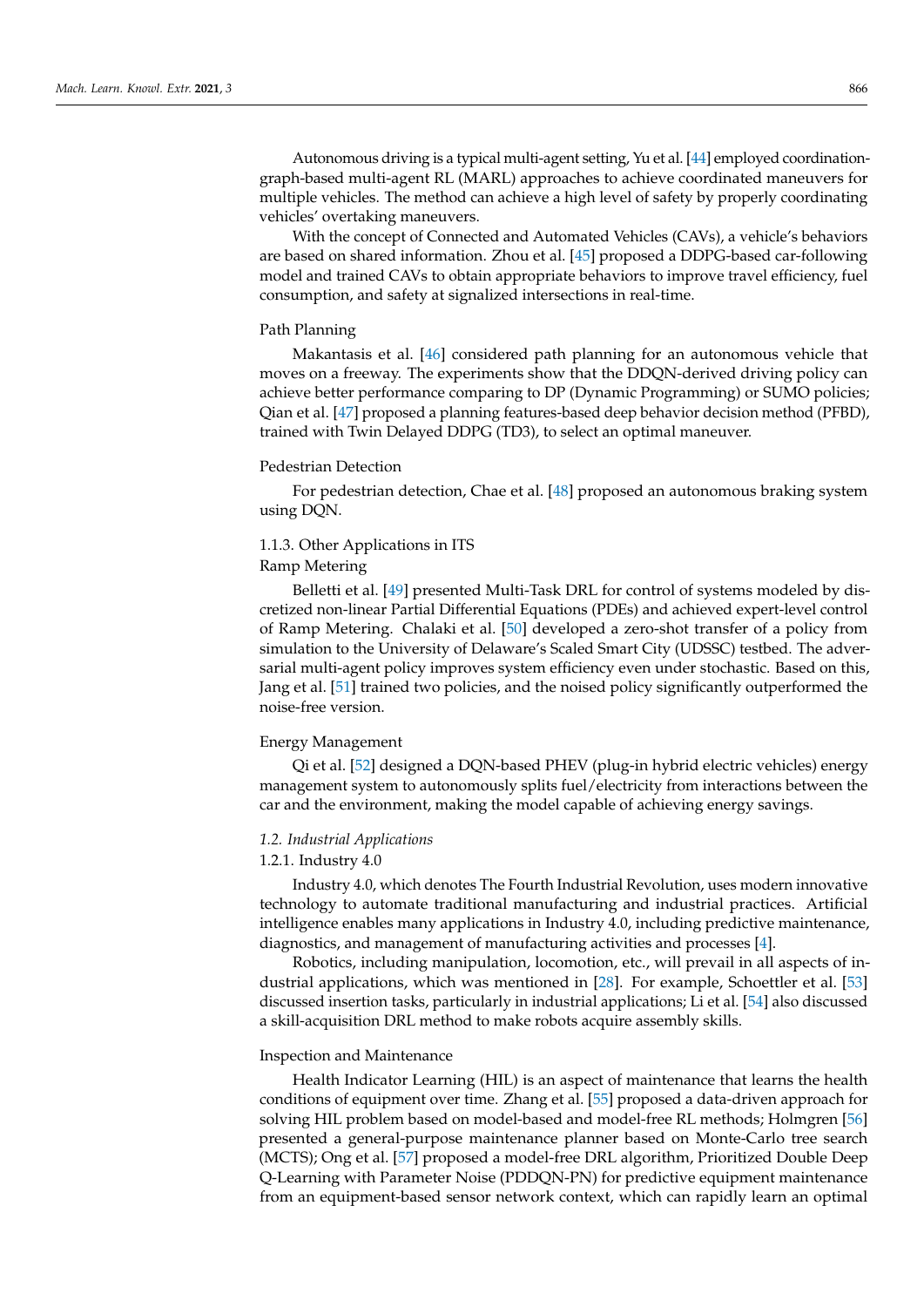Autonomous driving is a typical multi-agent setting, Yu et al. [\[44\]](#page-12-3) employed coordinationgraph-based multi-agent RL (MARL) approaches to achieve coordinated maneuvers for multiple vehicles. The method can achieve a high level of safety by properly coordinating vehicles' overtaking maneuvers.

With the concept of Connected and Automated Vehicles (CAVs), a vehicle's behaviors are based on shared information. Zhou et al. [\[45\]](#page-12-4) proposed a DDPG-based car-following model and trained CAVs to obtain appropriate behaviors to improve travel efficiency, fuel consumption, and safety at signalized intersections in real-time.

## Path Planning

Makantasis et al. [\[46\]](#page-12-5) considered path planning for an autonomous vehicle that moves on a freeway. The experiments show that the DDQN-derived driving policy can achieve better performance comparing to DP (Dynamic Programming) or SUMO policies; Qian et al. [\[47\]](#page-12-6) proposed a planning features-based deep behavior decision method (PFBD), trained with Twin Delayed DDPG (TD3), to select an optimal maneuver.

#### Pedestrian Detection

For pedestrian detection, Chae et al. [\[48\]](#page-12-7) proposed an autonomous braking system using DQN.

## 1.1.3. Other Applications in ITS

Ramp Metering

Belletti et al. [\[49\]](#page-12-8) presented Multi-Task DRL for control of systems modeled by discretized non-linear Partial Differential Equations (PDEs) and achieved expert-level control of Ramp Metering. Chalaki et al. [\[50\]](#page-12-9) developed a zero-shot transfer of a policy from simulation to the University of Delaware's Scaled Smart City (UDSSC) testbed. The adversarial multi-agent policy improves system efficiency even under stochastic. Based on this, Jang et al. [\[51\]](#page-12-10) trained two policies, and the noised policy significantly outperformed the noise-free version.

#### Energy Management

Qi et al. [\[52\]](#page-12-11) designed a DQN-based PHEV (plug-in hybrid electric vehicles) energy management system to autonomously splits fuel/electricity from interactions between the car and the environment, making the model capable of achieving energy savings.

## *1.2. Industrial Applications*

#### 1.2.1. Industry 4.0

Industry 4.0, which denotes The Fourth Industrial Revolution, uses modern innovative technology to automate traditional manufacturing and industrial practices. Artificial intelligence enables many applications in Industry 4.0, including predictive maintenance, diagnostics, and management of manufacturing activities and processes [\[4\]](#page-10-3).

Robotics, including manipulation, locomotion, etc., will prevail in all aspects of industrial applications, which was mentioned in [\[28\]](#page-11-13). For example, Schoettler et al. [\[53\]](#page-12-12) discussed insertion tasks, particularly in industrial applications; Li et al. [\[54\]](#page-12-13) also discussed a skill-acquisition DRL method to make robots acquire assembly skills.

#### Inspection and Maintenance

Health Indicator Learning (HIL) is an aspect of maintenance that learns the health conditions of equipment over time. Zhang et al. [\[55\]](#page-12-14) proposed a data-driven approach for solving HIL problem based on model-based and model-free RL methods; Holmgren [\[56\]](#page-12-15) presented a general-purpose maintenance planner based on Monte-Carlo tree search (MCTS); Ong et al. [\[57\]](#page-12-16) proposed a model-free DRL algorithm, Prioritized Double Deep Q-Learning with Parameter Noise (PDDQN-PN) for predictive equipment maintenance from an equipment-based sensor network context, which can rapidly learn an optimal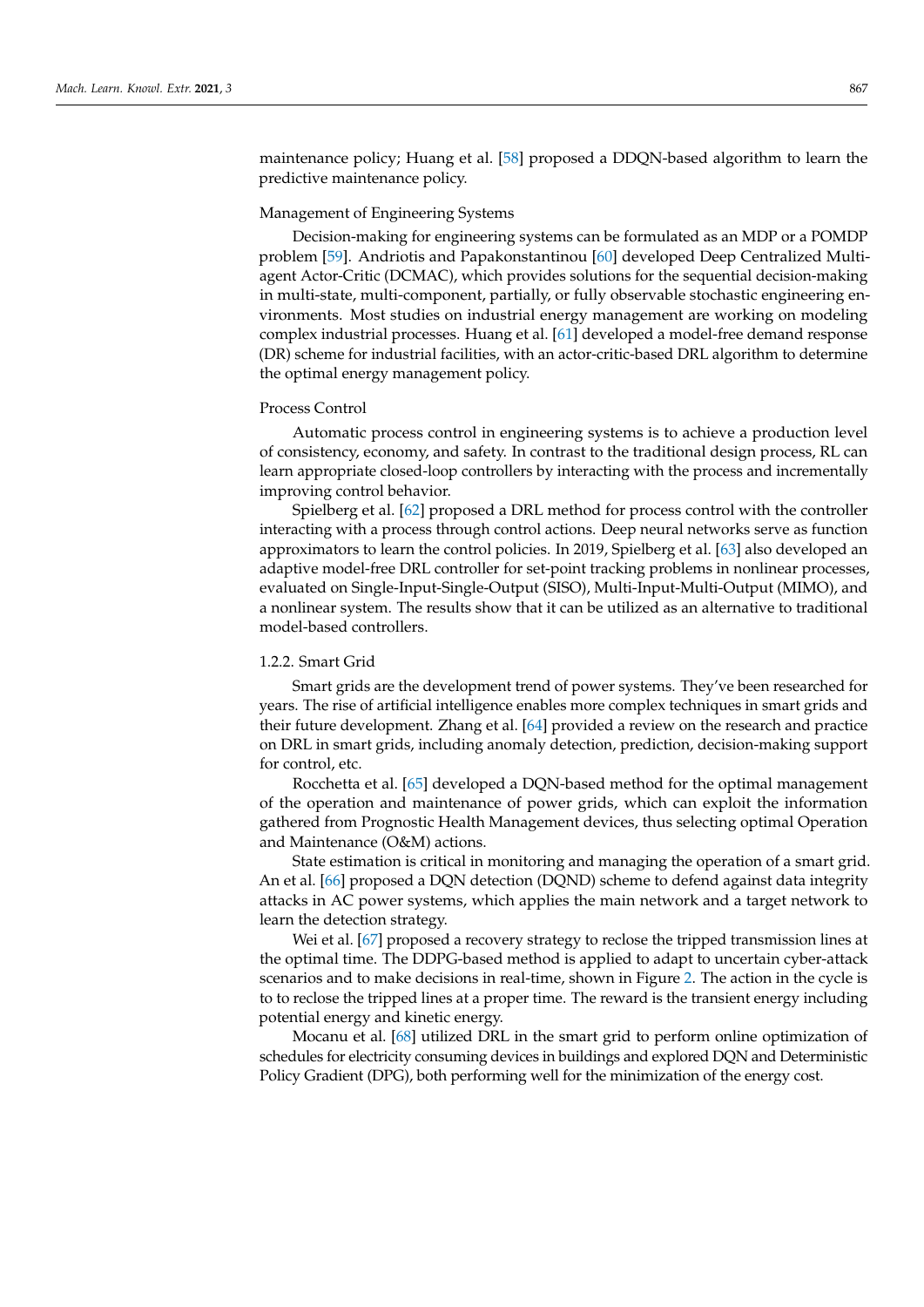maintenance policy; Huang et al. [\[58\]](#page-12-17) proposed a DDQN-based algorithm to learn the predictive maintenance policy.

## Management of Engineering Systems

Decision-making for engineering systems can be formulated as an MDP or a POMDP problem [\[59\]](#page-12-18). Andriotis and Papakonstantinou [\[60\]](#page-12-19) developed Deep Centralized Multiagent Actor-Critic (DCMAC), which provides solutions for the sequential decision-making in multi-state, multi-component, partially, or fully observable stochastic engineering environments. Most studies on industrial energy management are working on modeling complex industrial processes. Huang et al. [\[61\]](#page-12-20) developed a model-free demand response (DR) scheme for industrial facilities, with an actor-critic-based DRL algorithm to determine the optimal energy management policy.

#### Process Control

Automatic process control in engineering systems is to achieve a production level of consistency, economy, and safety. In contrast to the traditional design process, RL can learn appropriate closed-loop controllers by interacting with the process and incrementally improving control behavior.

Spielberg et al. [\[62\]](#page-12-21) proposed a DRL method for process control with the controller interacting with a process through control actions. Deep neural networks serve as function approximators to learn the control policies. In 2019, Spielberg et al. [\[63\]](#page-12-22) also developed an adaptive model-free DRL controller for set-point tracking problems in nonlinear processes, evaluated on Single-Input-Single-Output (SISO), Multi-Input-Multi-Output (MIMO), and a nonlinear system. The results show that it can be utilized as an alternative to traditional model-based controllers.

## 1.2.2. Smart Grid

Smart grids are the development trend of power systems. They've been researched for years. The rise of artificial intelligence enables more complex techniques in smart grids and their future development. Zhang et al. [\[64\]](#page-12-23) provided a review on the research and practice on DRL in smart grids, including anomaly detection, prediction, decision-making support for control, etc.

Rocchetta et al. [\[65\]](#page-12-24) developed a DQN-based method for the optimal management of the operation and maintenance of power grids, which can exploit the information gathered from Prognostic Health Management devices, thus selecting optimal Operation and Maintenance (O&M) actions.

State estimation is critical in monitoring and managing the operation of a smart grid. An et al. [\[66\]](#page-13-0) proposed a DQN detection (DQND) scheme to defend against data integrity attacks in AC power systems, which applies the main network and a target network to learn the detection strategy.

Wei et al. [\[67\]](#page-13-1) proposed a recovery strategy to reclose the tripped transmission lines at the optimal time. The DDPG-based method is applied to adapt to uncertain cyber-attack scenarios and to make decisions in real-time, shown in Figure [2.](#page-5-0) The action in the cycle is to to reclose the tripped lines at a proper time. The reward is the transient energy including potential energy and kinetic energy.

Mocanu et al. [\[68\]](#page-13-2) utilized DRL in the smart grid to perform online optimization of schedules for electricity consuming devices in buildings and explored DQN and Deterministic Policy Gradient (DPG), both performing well for the minimization of the energy cost.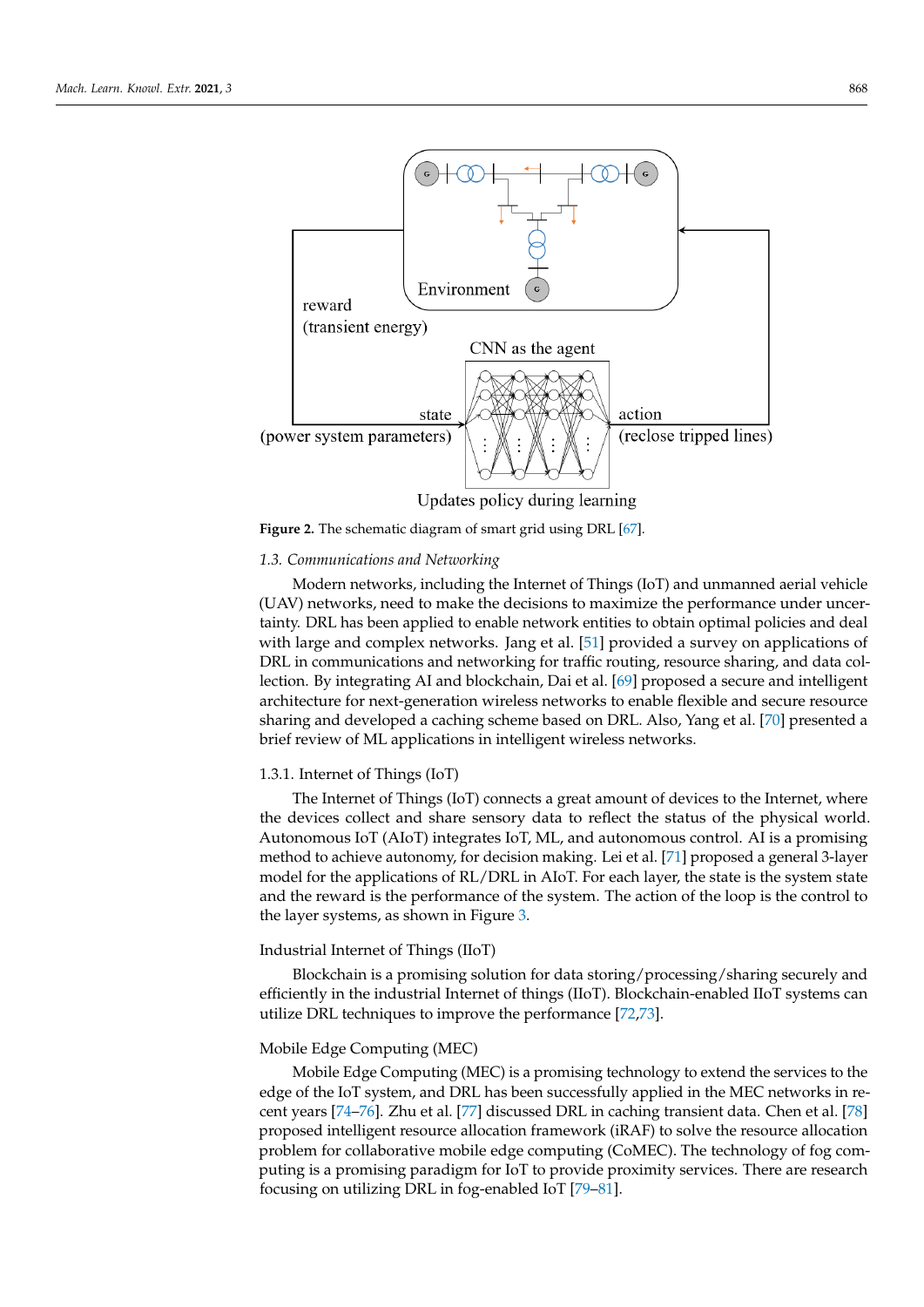<span id="page-5-0"></span>

**Figure 2.** The schematic diagram of smart grid using DRL [\[67\]](#page-13-1).

#### *1.3. Communications and Networking*

Modern networks, including the Internet of Things (IoT) and unmanned aerial vehicle (UAV) networks, need to make the decisions to maximize the performance under uncertainty. DRL has been applied to enable network entities to obtain optimal policies and deal with large and complex networks. Jang et al. [\[51\]](#page-12-10) provided a survey on applications of DRL in communications and networking for traffic routing, resource sharing, and data collection. By integrating AI and blockchain, Dai et al. [\[69\]](#page-13-3) proposed a secure and intelligent architecture for next-generation wireless networks to enable flexible and secure resource sharing and developed a caching scheme based on DRL. Also, Yang et al. [\[70\]](#page-13-4) presented a brief review of ML applications in intelligent wireless networks.

## 1.3.1. Internet of Things (IoT)

The Internet of Things (IoT) connects a great amount of devices to the Internet, where the devices collect and share sensory data to reflect the status of the physical world. Autonomous IoT (AIoT) integrates IoT, ML, and autonomous control. AI is a promising method to achieve autonomy, for decision making. Lei et al. [\[71\]](#page-13-5) proposed a general 3-layer model for the applications of RL/DRL in AIoT. For each layer, the state is the system state and the reward is the performance of the system. The action of the loop is the control to the layer systems, as shown in Figure [3.](#page-6-0)

### Industrial Internet of Things (IIoT)

Blockchain is a promising solution for data storing/processing/sharing securely and efficiently in the industrial Internet of things (IIoT). Blockchain-enabled IIoT systems can utilize DRL techniques to improve the performance [\[72,](#page-13-6)[73\]](#page-13-7).

#### Mobile Edge Computing (MEC)

Mobile Edge Computing (MEC) is a promising technology to extend the services to the edge of the IoT system, and DRL has been successfully applied in the MEC networks in recent years [\[74–](#page-13-8)[76\]](#page-13-9). Zhu et al. [\[77\]](#page-13-10) discussed DRL in caching transient data. Chen et al. [\[78\]](#page-13-11) proposed intelligent resource allocation framework (iRAF) to solve the resource allocation problem for collaborative mobile edge computing (CoMEC). The technology of fog computing is a promising paradigm for IoT to provide proximity services. There are research focusing on utilizing DRL in fog-enabled IoT [\[79–](#page-13-12)[81\]](#page-13-13).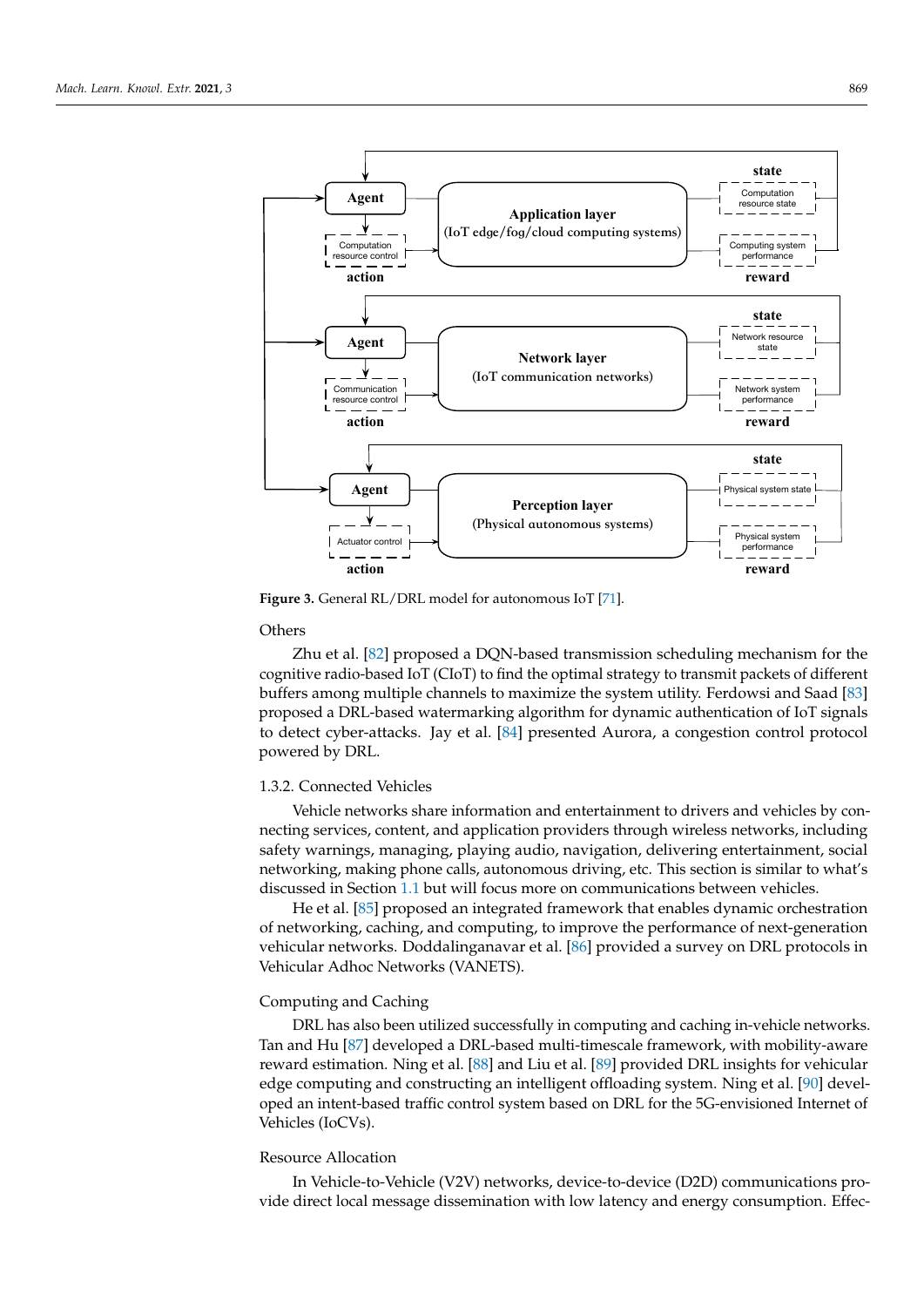<span id="page-6-0"></span>

**Figure 3.** General RL/DRL model for autonomous IoT [\[71\]](#page-13-5).

**Others** 

Zhu et al. [\[82\]](#page-13-14) proposed a DQN-based transmission scheduling mechanism for the cognitive radio-based IoT (CIoT) to find the optimal strategy to transmit packets of different buffers among multiple channels to maximize the system utility. Ferdowsi and Saad [\[83\]](#page-13-15) proposed a DRL-based watermarking algorithm for dynamic authentication of IoT signals to detect cyber-attacks. Jay et al. [\[84\]](#page-13-16) presented Aurora, a congestion control protocol powered by DRL.

## 1.3.2. Connected Vehicles

Vehicle networks share information and entertainment to drivers and vehicles by connecting services, content, and application providers through wireless networks, including safety warnings, managing, playing audio, navigation, delivering entertainment, social networking, making phone calls, autonomous driving, etc. This section is similar to what's discussed in Section [1.1](#page-0-0) but will focus more on communications between vehicles.

He et al. [\[85\]](#page-13-17) proposed an integrated framework that enables dynamic orchestration of networking, caching, and computing, to improve the performance of next-generation vehicular networks. Doddalinganavar et al. [\[86\]](#page-13-18) provided a survey on DRL protocols in Vehicular Adhoc Networks (VANETS).

## Computing and Caching

DRL has also been utilized successfully in computing and caching in-vehicle networks. Tan and Hu [\[87\]](#page-13-19) developed a DRL-based multi-timescale framework, with mobility-aware reward estimation. Ning et al. [\[88\]](#page-13-20) and Liu et al. [\[89\]](#page-13-21) provided DRL insights for vehicular edge computing and constructing an intelligent offloading system. Ning et al. [\[90\]](#page-13-22) developed an intent-based traffic control system based on DRL for the 5G-envisioned Internet of Vehicles (IoCVs).

## Resource Allocation

In Vehicle-to-Vehicle (V2V) networks, device-to-device (D2D) communications provide direct local message dissemination with low latency and energy consumption. Effec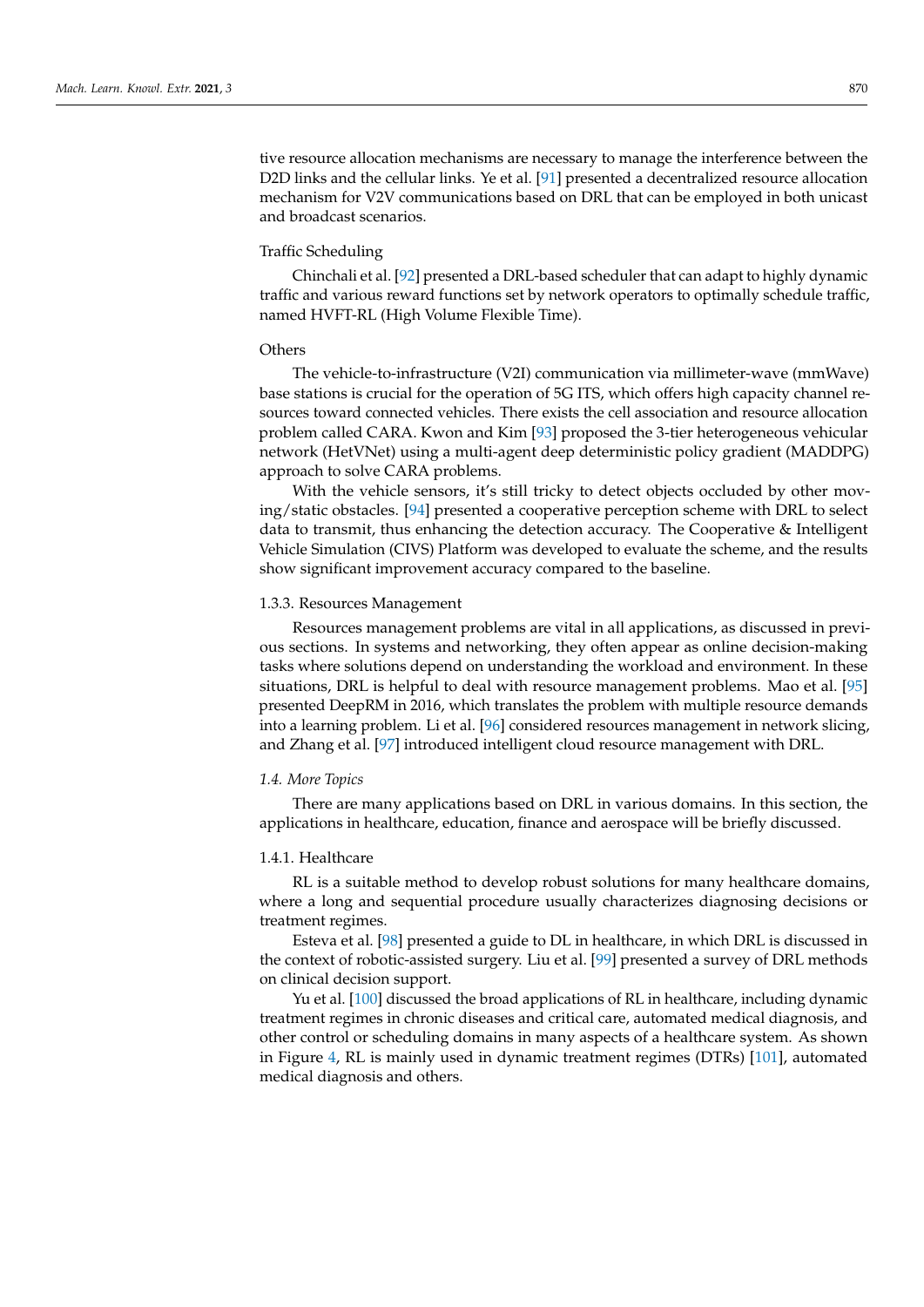tive resource allocation mechanisms are necessary to manage the interference between the D2D links and the cellular links. Ye et al. [\[91\]](#page-13-23) presented a decentralized resource allocation mechanism for V2V communications based on DRL that can be employed in both unicast and broadcast scenarios.

#### Traffic Scheduling

Chinchali et al. [\[92\]](#page-13-24) presented a DRL-based scheduler that can adapt to highly dynamic traffic and various reward functions set by network operators to optimally schedule traffic, named HVFT-RL (High Volume Flexible Time).

## **Others**

The vehicle-to-infrastructure (V2I) communication via millimeter-wave (mmWave) base stations is crucial for the operation of 5G ITS, which offers high capacity channel resources toward connected vehicles. There exists the cell association and resource allocation problem called CARA. Kwon and Kim [\[93\]](#page-13-25) proposed the 3-tier heterogeneous vehicular network (HetVNet) using a multi-agent deep deterministic policy gradient (MADDPG) approach to solve CARA problems.

With the vehicle sensors, it's still tricky to detect objects occluded by other moving/static obstacles. [\[94\]](#page-14-0) presented a cooperative perception scheme with DRL to select data to transmit, thus enhancing the detection accuracy. The Cooperative & Intelligent Vehicle Simulation (CIVS) Platform was developed to evaluate the scheme, and the results show significant improvement accuracy compared to the baseline.

#### 1.3.3. Resources Management

Resources management problems are vital in all applications, as discussed in previous sections. In systems and networking, they often appear as online decision-making tasks where solutions depend on understanding the workload and environment. In these situations, DRL is helpful to deal with resource management problems. Mao et al. [\[95\]](#page-14-1) presented DeepRM in 2016, which translates the problem with multiple resource demands into a learning problem. Li et al. [\[96\]](#page-14-2) considered resources management in network slicing, and Zhang et al. [\[97\]](#page-14-3) introduced intelligent cloud resource management with DRL.

## *1.4. More Topics*

There are many applications based on DRL in various domains. In this section, the applications in healthcare, education, finance and aerospace will be briefly discussed.

## 1.4.1. Healthcare

RL is a suitable method to develop robust solutions for many healthcare domains, where a long and sequential procedure usually characterizes diagnosing decisions or treatment regimes.

Esteva et al. [\[98\]](#page-14-4) presented a guide to DL in healthcare, in which DRL is discussed in the context of robotic-assisted surgery. Liu et al. [\[99\]](#page-14-5) presented a survey of DRL methods on clinical decision support.

Yu et al. [\[100\]](#page-14-6) discussed the broad applications of RL in healthcare, including dynamic treatment regimes in chronic diseases and critical care, automated medical diagnosis, and other control or scheduling domains in many aspects of a healthcare system. As shown in Figure [4,](#page-8-0) RL is mainly used in dynamic treatment regimes (DTRs) [\[101\]](#page-14-7), automated medical diagnosis and others.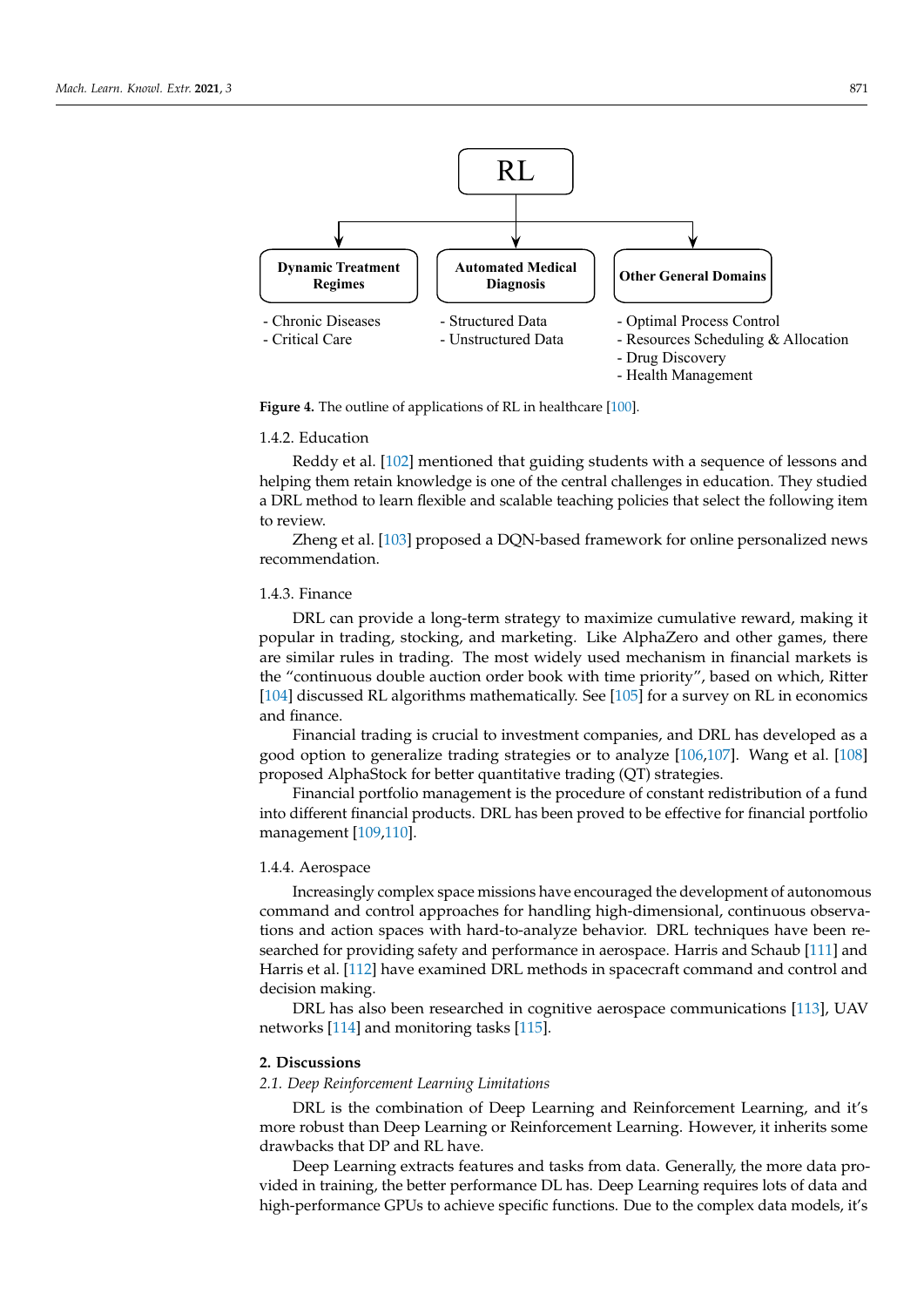<span id="page-8-0"></span>

**Figure 4.** The outline of applications of RL in healthcare [\[100\]](#page-14-6).

#### 1.4.2. Education

Reddy et al. [\[102\]](#page-14-8) mentioned that guiding students with a sequence of lessons and helping them retain knowledge is one of the central challenges in education. They studied a DRL method to learn flexible and scalable teaching policies that select the following item to review.

Zheng et al. [\[103\]](#page-14-9) proposed a DQN-based framework for online personalized news recommendation.

## 1.4.3. Finance

DRL can provide a long-term strategy to maximize cumulative reward, making it popular in trading, stocking, and marketing. Like AlphaZero and other games, there are similar rules in trading. The most widely used mechanism in financial markets is the "continuous double auction order book with time priority", based on which, Ritter [\[104\]](#page-14-10) discussed RL algorithms mathematically. See [\[105\]](#page-14-11) for a survey on RL in economics and finance.

Financial trading is crucial to investment companies, and DRL has developed as a good option to generalize trading strategies or to analyze [\[106,](#page-14-12)[107\]](#page-14-13). Wang et al. [\[108\]](#page-14-14) proposed AlphaStock for better quantitative trading (QT) strategies.

Financial portfolio management is the procedure of constant redistribution of a fund into different financial products. DRL has been proved to be effective for financial portfolio management [\[109](#page-14-15)[,110\]](#page-14-16).

#### 1.4.4. Aerospace

Increasingly complex space missions have encouraged the development of autonomous command and control approaches for handling high-dimensional, continuous observations and action spaces with hard-to-analyze behavior. DRL techniques have been researched for providing safety and performance in aerospace. Harris and Schaub [\[111\]](#page-14-17) and Harris et al. [\[112\]](#page-14-18) have examined DRL methods in spacecraft command and control and decision making.

DRL has also been researched in cognitive aerospace communications [\[113\]](#page-14-19), UAV networks [\[114\]](#page-14-20) and monitoring tasks [\[115\]](#page-14-21).

## **2. Discussions**

*2.1. Deep Reinforcement Learning Limitations*

DRL is the combination of Deep Learning and Reinforcement Learning, and it's more robust than Deep Learning or Reinforcement Learning. However, it inherits some drawbacks that DP and RL have.

Deep Learning extracts features and tasks from data. Generally, the more data provided in training, the better performance DL has. Deep Learning requires lots of data and high-performance GPUs to achieve specific functions. Due to the complex data models, it's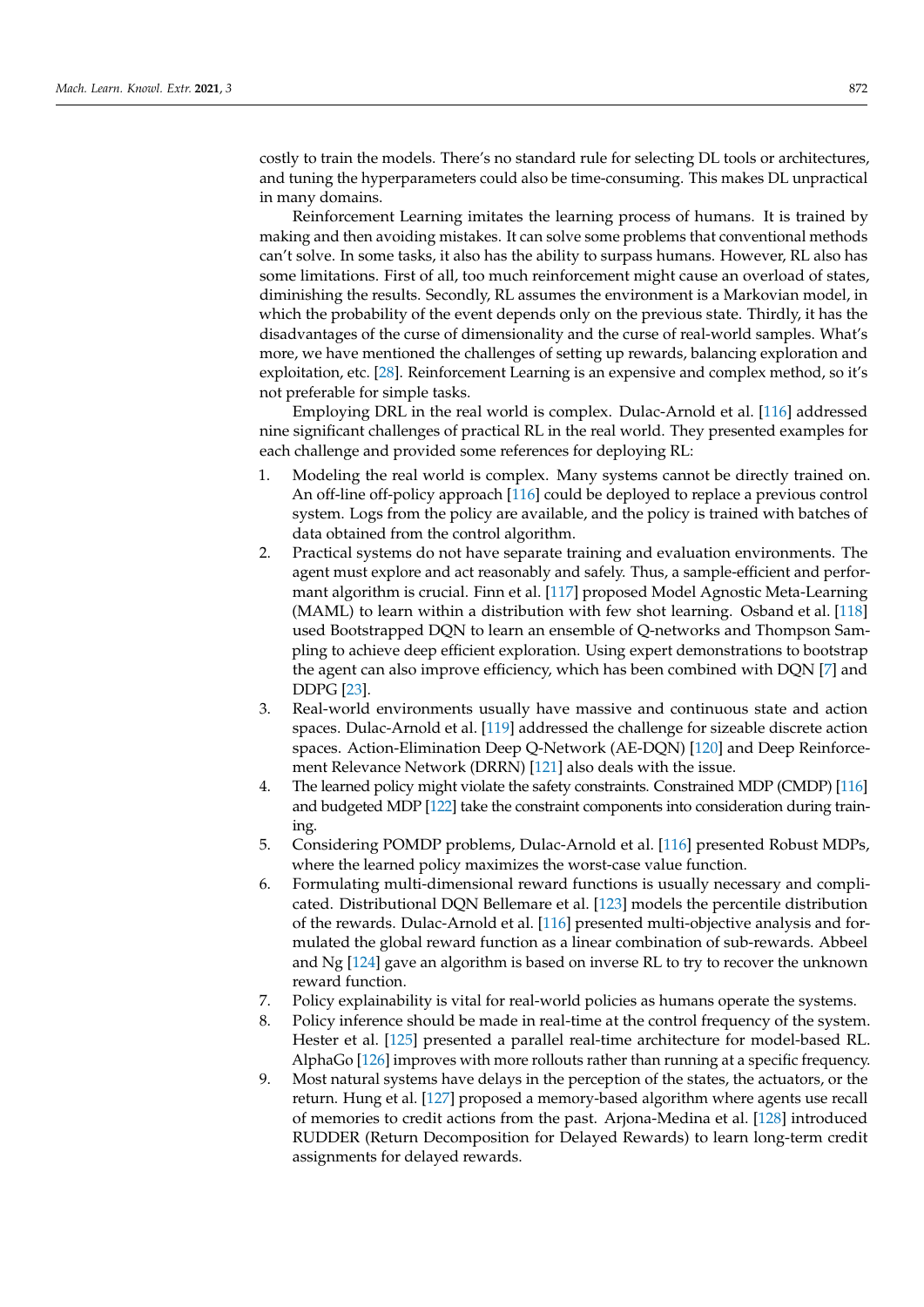costly to train the models. There's no standard rule for selecting DL tools or architectures, and tuning the hyperparameters could also be time-consuming. This makes DL unpractical in many domains.

Reinforcement Learning imitates the learning process of humans. It is trained by making and then avoiding mistakes. It can solve some problems that conventional methods can't solve. In some tasks, it also has the ability to surpass humans. However, RL also has some limitations. First of all, too much reinforcement might cause an overload of states, diminishing the results. Secondly, RL assumes the environment is a Markovian model, in which the probability of the event depends only on the previous state. Thirdly, it has the disadvantages of the curse of dimensionality and the curse of real-world samples. What's more, we have mentioned the challenges of setting up rewards, balancing exploration and exploitation, etc. [\[28\]](#page-11-13). Reinforcement Learning is an expensive and complex method, so it's not preferable for simple tasks.

Employing DRL in the real world is complex. Dulac-Arnold et al. [\[116\]](#page-14-22) addressed nine significant challenges of practical RL in the real world. They presented examples for each challenge and provided some references for deploying RL:

- 1. Modeling the real world is complex. Many systems cannot be directly trained on. An off-line off-policy approach [\[116\]](#page-14-22) could be deployed to replace a previous control system. Logs from the policy are available, and the policy is trained with batches of data obtained from the control algorithm.
- 2. Practical systems do not have separate training and evaluation environments. The agent must explore and act reasonably and safely. Thus, a sample-efficient and performant algorithm is crucial. Finn et al. [\[117\]](#page-14-23) proposed Model Agnostic Meta-Learning (MAML) to learn within a distribution with few shot learning. Osband et al. [\[118\]](#page-14-24) used Bootstrapped DQN to learn an ensemble of Q-networks and Thompson Sampling to achieve deep efficient exploration. Using expert demonstrations to bootstrap the agent can also improve efficiency, which has been combined with DQN [\[7\]](#page-10-6) and DDPG [\[23\]](#page-11-8).
- 3. Real-world environments usually have massive and continuous state and action spaces. Dulac-Arnold et al. [\[119\]](#page-14-25) addressed the challenge for sizeable discrete action spaces. Action-Elimination Deep Q-Network (AE-DQN) [\[120\]](#page-14-26) and Deep Reinforcement Relevance Network (DRRN) [\[121\]](#page-14-27) also deals with the issue.
- 4. The learned policy might violate the safety constraints. Constrained MDP (CMDP) [\[116\]](#page-14-22) and budgeted MDP [\[122\]](#page-14-28) take the constraint components into consideration during training.
- 5. Considering POMDP problems, Dulac-Arnold et al. [\[116\]](#page-14-22) presented Robust MDPs, where the learned policy maximizes the worst-case value function.
- 6. Formulating multi-dimensional reward functions is usually necessary and complicated. Distributional DQN Bellemare et al. [\[123\]](#page-14-29) models the percentile distribution of the rewards. Dulac-Arnold et al. [\[116\]](#page-14-22) presented multi-objective analysis and formulated the global reward function as a linear combination of sub-rewards. Abbeel and Ng [\[124\]](#page-15-0) gave an algorithm is based on inverse RL to try to recover the unknown reward function.
- 7. Policy explainability is vital for real-world policies as humans operate the systems.
- 8. Policy inference should be made in real-time at the control frequency of the system. Hester et al. [\[125\]](#page-15-1) presented a parallel real-time architecture for model-based RL. AlphaGo [\[126\]](#page-15-2) improves with more rollouts rather than running at a specific frequency.
- 9. Most natural systems have delays in the perception of the states, the actuators, or the return. Hung et al. [\[127\]](#page-15-3) proposed a memory-based algorithm where agents use recall of memories to credit actions from the past. Arjona-Medina et al. [\[128\]](#page-15-4) introduced RUDDER (Return Decomposition for Delayed Rewards) to learn long-term credit assignments for delayed rewards.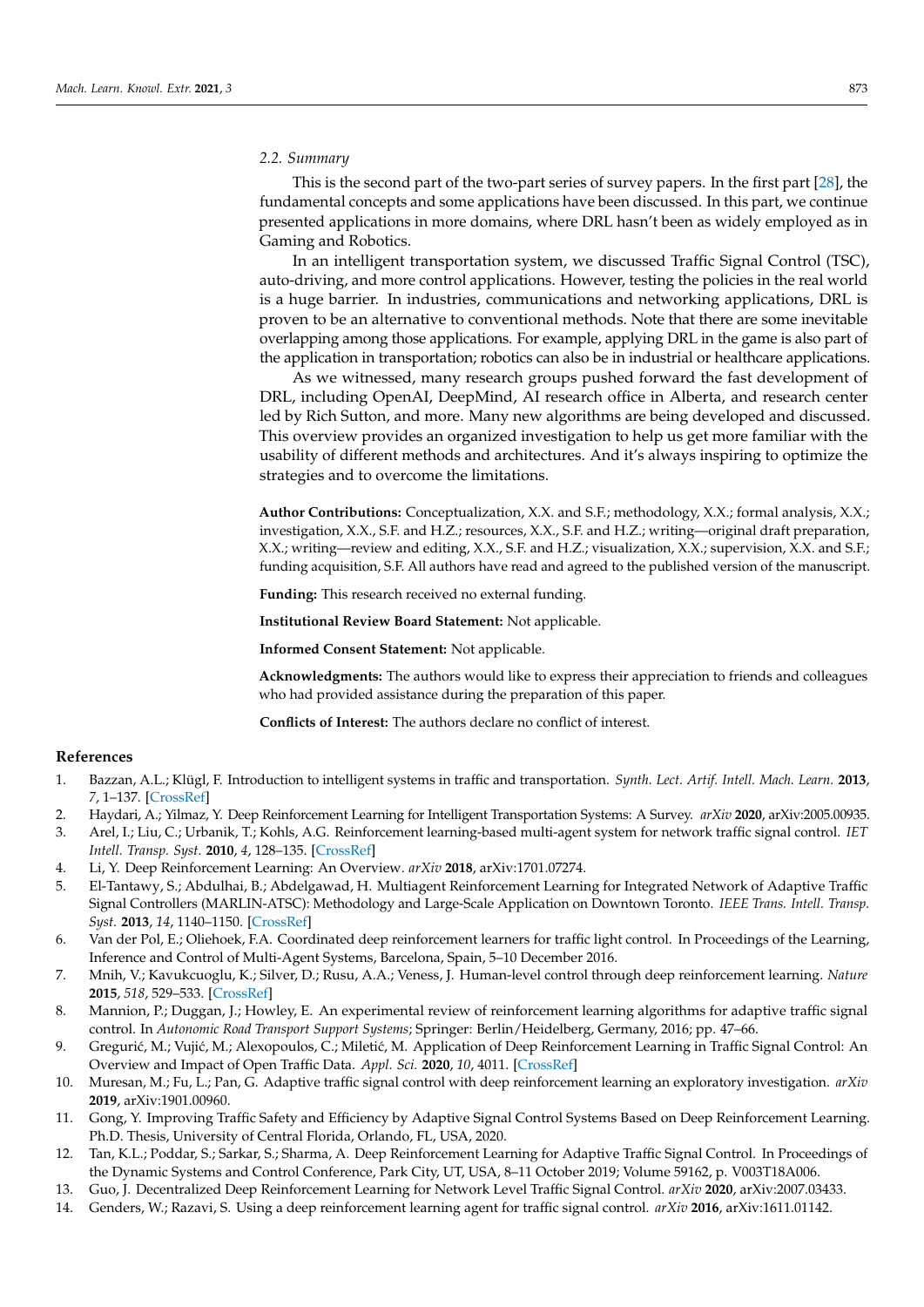## *2.2. Summary*

This is the second part of the two-part series of survey papers. In the first part [\[28\]](#page-11-13), the fundamental concepts and some applications have been discussed. In this part, we continue presented applications in more domains, where DRL hasn't been as widely employed as in Gaming and Robotics.

In an intelligent transportation system, we discussed Traffic Signal Control (TSC), auto-driving, and more control applications. However, testing the policies in the real world is a huge barrier. In industries, communications and networking applications, DRL is proven to be an alternative to conventional methods. Note that there are some inevitable overlapping among those applications. For example, applying DRL in the game is also part of the application in transportation; robotics can also be in industrial or healthcare applications.

As we witnessed, many research groups pushed forward the fast development of DRL, including OpenAI, DeepMind, AI research office in Alberta, and research center led by Rich Sutton, and more. Many new algorithms are being developed and discussed. This overview provides an organized investigation to help us get more familiar with the usability of different methods and architectures. And it's always inspiring to optimize the strategies and to overcome the limitations.

**Author Contributions:** Conceptualization, X.X. and S.F.; methodology, X.X.; formal analysis, X.X.; investigation, X.X., S.F. and H.Z.; resources, X.X., S.F. and H.Z.; writing—original draft preparation, X.X.; writing—review and editing, X.X., S.F. and H.Z.; visualization, X.X.; supervision, X.X. and S.F.; funding acquisition, S.F. All authors have read and agreed to the published version of the manuscript.

**Funding:** This research received no external funding.

**Institutional Review Board Statement:** Not applicable.

**Informed Consent Statement:** Not applicable.

**Acknowledgments:** The authors would like to express their appreciation to friends and colleagues who had provided assistance during the preparation of this paper.

**Conflicts of Interest:** The authors declare no conflict of interest.

## **References**

- <span id="page-10-0"></span>1. Bazzan, A.L.; Klügl, F. Introduction to intelligent systems in traffic and transportation. *Synth. Lect. Artif. Intell. Mach. Learn.* **2013**, *7*, 1–137. [\[CrossRef\]](http://doi.org/10.2200/S00553ED1V01Y201312AIM025)
- <span id="page-10-1"></span>2. Haydari, A.; Yilmaz, Y. Deep Reinforcement Learning for Intelligent Transportation Systems: A Survey. *arXiv* **2020**, arXiv:2005.00935.
- <span id="page-10-2"></span>3. Arel, I.; Liu, C.; Urbanik, T.; Kohls, A.G. Reinforcement learning-based multi-agent system for network traffic signal control. *IET*
- *Intell. Transp. Syst.* **2010**, *4*, 128–135. [\[CrossRef\]](http://dx.doi.org/10.1049/iet-its.2009.0070)
- <span id="page-10-3"></span>4. Li, Y. Deep Reinforcement Learning: An Overview. *arXiv* **2018**, arXiv:1701.07274.
- <span id="page-10-4"></span>5. El-Tantawy, S.; Abdulhai, B.; Abdelgawad, H. Multiagent Reinforcement Learning for Integrated Network of Adaptive Traffic Signal Controllers (MARLIN-ATSC): Methodology and Large-Scale Application on Downtown Toronto. *IEEE Trans. Intell. Transp. Syst.* **2013**, *14*, 1140–1150. [\[CrossRef\]](http://dx.doi.org/10.1109/TITS.2013.2255286)
- <span id="page-10-5"></span>6. Van der Pol, E.; Oliehoek, F.A. Coordinated deep reinforcement learners for traffic light control. In Proceedings of the Learning, Inference and Control of Multi-Agent Systems, Barcelona, Spain, 5–10 December 2016.
- <span id="page-10-6"></span>7. Mnih, V.; Kavukcuoglu, K.; Silver, D.; Rusu, A.A.; Veness, J. Human-level control through deep reinforcement learning. *Nature* **2015**, *518*, 529–533. [\[CrossRef\]](http://dx.doi.org/10.1038/nature14236)
- <span id="page-10-7"></span>8. Mannion, P.; Duggan, J.; Howley, E. An experimental review of reinforcement learning algorithms for adaptive traffic signal control. In *Autonomic Road Transport Support Systems*; Springer: Berlin/Heidelberg, Germany, 2016; pp. 47–66.
- <span id="page-10-8"></span>9. Gregurić, M.; Vujić, M.; Alexopoulos, C.; Miletić, M. Application of Deep Reinforcement Learning in Traffic Signal Control: An Overview and Impact of Open Traffic Data. *Appl. Sci.* **2020**, *10*, 4011. [\[CrossRef\]](http://dx.doi.org/10.3390/app10114011)
- 10. Muresan, M.; Fu, L.; Pan, G. Adaptive traffic signal control with deep reinforcement learning an exploratory investigation. *arXiv* **2019**, arXiv:1901.00960.
- 11. Gong, Y. Improving Traffic Safety and Efficiency by Adaptive Signal Control Systems Based on Deep Reinforcement Learning. Ph.D. Thesis, University of Central Florida, Orlando, FL, USA, 2020.
- 12. Tan, K.L.; Poddar, S.; Sarkar, S.; Sharma, A. Deep Reinforcement Learning for Adaptive Traffic Signal Control. In Proceedings of the Dynamic Systems and Control Conference, Park City, UT, USA, 8–11 October 2019; Volume 59162, p. V003T18A006.
- <span id="page-10-9"></span>13. Guo, J. Decentralized Deep Reinforcement Learning for Network Level Traffic Signal Control. *arXiv* **2020**, arXiv:2007.03433.
- <span id="page-10-10"></span>14. Genders, W.; Razavi, S. Using a deep reinforcement learning agent for traffic signal control. *arXiv* **2016**, arXiv:1611.01142.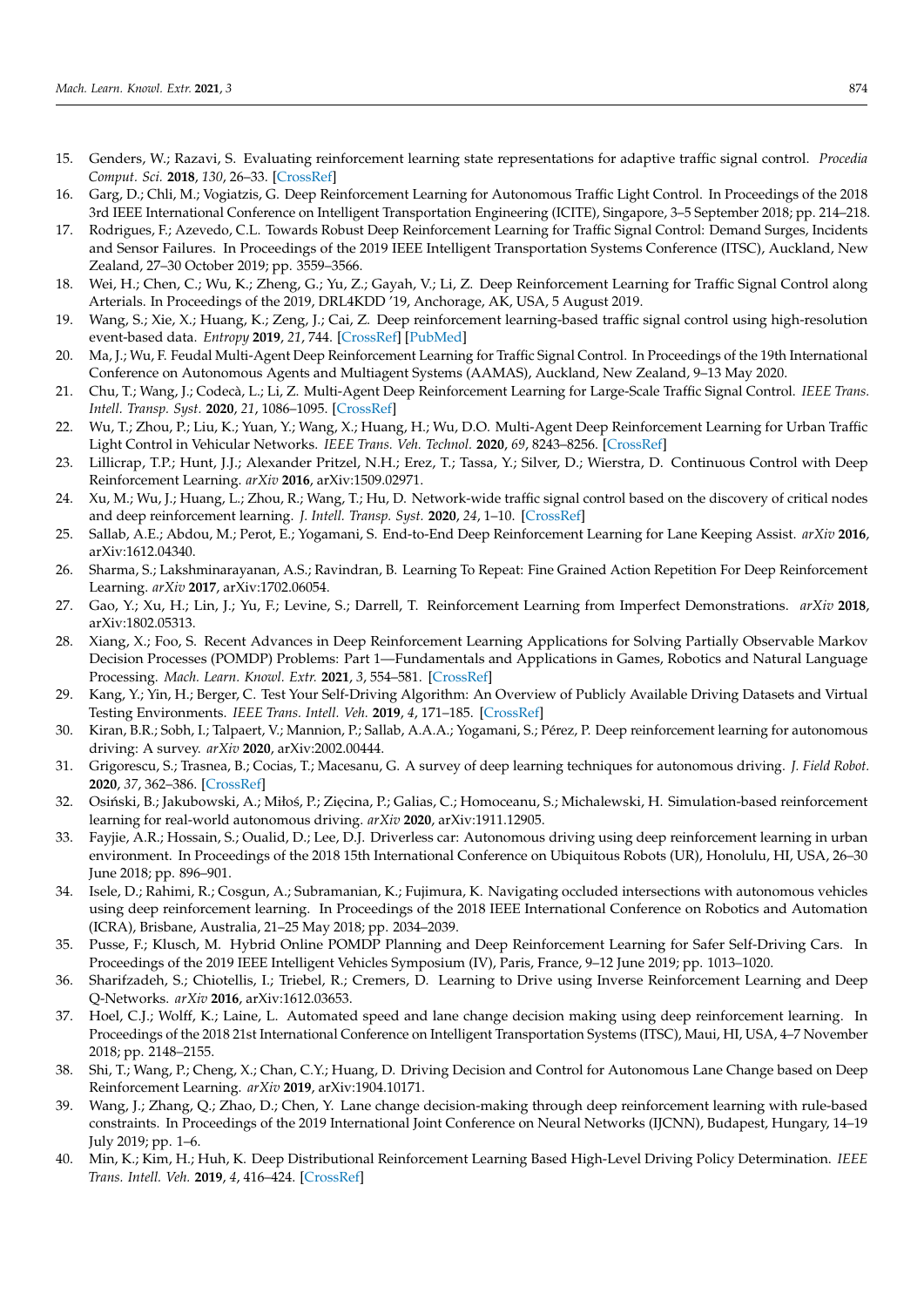- <span id="page-11-0"></span>15. Genders, W.; Razavi, S. Evaluating reinforcement learning state representations for adaptive traffic signal control. *Procedia Comput. Sci.* **2018**, *130*, 26–33. [\[CrossRef\]](http://dx.doi.org/10.1016/j.procs.2018.04.008)
- <span id="page-11-1"></span>16. Garg, D.; Chli, M.; Vogiatzis, G. Deep Reinforcement Learning for Autonomous Traffic Light Control. In Proceedings of the 2018 3rd IEEE International Conference on Intelligent Transportation Engineering (ICITE), Singapore, 3–5 September 2018; pp. 214–218.
- <span id="page-11-2"></span>17. Rodrigues, F.; Azevedo, C.L. Towards Robust Deep Reinforcement Learning for Traffic Signal Control: Demand Surges, Incidents and Sensor Failures. In Proceedings of the 2019 IEEE Intelligent Transportation Systems Conference (ITSC), Auckland, New Zealand, 27–30 October 2019; pp. 3559–3566.
- <span id="page-11-3"></span>18. Wei, H.; Chen, C.; Wu, K.; Zheng, G.; Yu, Z.; Gayah, V.; Li, Z. Deep Reinforcement Learning for Traffic Signal Control along Arterials. In Proceedings of the 2019, DRL4KDD '19, Anchorage, AK, USA, 5 August 2019.
- <span id="page-11-4"></span>19. Wang, S.; Xie, X.; Huang, K.; Zeng, J.; Cai, Z. Deep reinforcement learning-based traffic signal control using high-resolution event-based data. *Entropy* **2019**, *21*, 744. [\[CrossRef\]](http://dx.doi.org/10.3390/e21080744) [\[PubMed\]](http://www.ncbi.nlm.nih.gov/pubmed/33267458)
- <span id="page-11-5"></span>20. Ma, J.; Wu, F. Feudal Multi-Agent Deep Reinforcement Learning for Traffic Signal Control. In Proceedings of the 19th International Conference on Autonomous Agents and Multiagent Systems (AAMAS), Auckland, New Zealand, 9–13 May 2020.
- <span id="page-11-6"></span>21. Chu, T.; Wang, J.; Codecà, L.; Li, Z. Multi-Agent Deep Reinforcement Learning for Large-Scale Traffic Signal Control. *IEEE Trans. Intell. Transp. Syst.* **2020**, *21*, 1086–1095. [\[CrossRef\]](http://dx.doi.org/10.1109/TITS.2019.2901791)
- <span id="page-11-7"></span>22. Wu, T.; Zhou, P.; Liu, K.; Yuan, Y.; Wang, X.; Huang, H.; Wu, D.O. Multi-Agent Deep Reinforcement Learning for Urban Traffic Light Control in Vehicular Networks. *IEEE Trans. Veh. Technol.* **2020**, *69*, 8243–8256. [\[CrossRef\]](http://dx.doi.org/10.1109/TVT.2020.2997896)
- <span id="page-11-8"></span>23. Lillicrap, T.P.; Hunt, J.J.; Alexander Pritzel, N.H.; Erez, T.; Tassa, Y.; Silver, D.; Wierstra, D. Continuous Control with Deep Reinforcement Learning. *arXiv* **2016**, arXiv:1509.02971.
- <span id="page-11-9"></span>24. Xu, M.; Wu, J.; Huang, L.; Zhou, R.; Wang, T.; Hu, D. Network-wide traffic signal control based on the discovery of critical nodes and deep reinforcement learning. *J. Intell. Transp. Syst.* **2020**, *24*, 1–10. [\[CrossRef\]](http://dx.doi.org/10.1080/15472450.2018.1527694)
- <span id="page-11-10"></span>25. Sallab, A.E.; Abdou, M.; Perot, E.; Yogamani, S. End-to-End Deep Reinforcement Learning for Lane Keeping Assist. *arXiv* **2016**, arXiv:1612.04340.
- <span id="page-11-11"></span>26. Sharma, S.; Lakshminarayanan, A.S.; Ravindran, B. Learning To Repeat: Fine Grained Action Repetition For Deep Reinforcement Learning. *arXiv* **2017**, arXiv:1702.06054.
- <span id="page-11-12"></span>27. Gao, Y.; Xu, H.; Lin, J.; Yu, F.; Levine, S.; Darrell, T. Reinforcement Learning from Imperfect Demonstrations. *arXiv* **2018**, arXiv:1802.05313.
- <span id="page-11-13"></span>28. Xiang, X.; Foo, S. Recent Advances in Deep Reinforcement Learning Applications for Solving Partially Observable Markov Decision Processes (POMDP) Problems: Part 1—Fundamentals and Applications in Games, Robotics and Natural Language Processing. *Mach. Learn. Knowl. Extr.* **2021**, *3*, 554–581. [\[CrossRef\]](http://dx.doi.org/10.3390/make3030029)
- <span id="page-11-14"></span>29. Kang, Y.; Yin, H.; Berger, C. Test Your Self-Driving Algorithm: An Overview of Publicly Available Driving Datasets and Virtual Testing Environments. *IEEE Trans. Intell. Veh.* **2019**, *4*, 171–185. [\[CrossRef\]](http://dx.doi.org/10.1109/TIV.2018.2886678)
- <span id="page-11-15"></span>30. Kiran, B.R.; Sobh, I.; Talpaert, V.; Mannion, P.; Sallab, A.A.A.; Yogamani, S.; Pérez, P. Deep reinforcement learning for autonomous driving: A survey. *arXiv* **2020**, arXiv:2002.00444.
- <span id="page-11-16"></span>31. Grigorescu, S.; Trasnea, B.; Cocias, T.; Macesanu, G. A survey of deep learning techniques for autonomous driving. *J. Field Robot.* **2020**, *37*, 362–386. [\[CrossRef\]](http://dx.doi.org/10.1002/rob.21918)
- <span id="page-11-17"></span>32. Osiński, B.; Jakubowski, A.; Miłoś, P.; Zięcina, P.; Galias, C.; Homoceanu, S.; Michalewski, H. Simulation-based reinforcement learning for real-world autonomous driving. *arXiv* **2020**, arXiv:1911.12905.
- <span id="page-11-18"></span>33. Fayjie, A.R.; Hossain, S.; Oualid, D.; Lee, D.J. Driverless car: Autonomous driving using deep reinforcement learning in urban environment. In Proceedings of the 2018 15th International Conference on Ubiquitous Robots (UR), Honolulu, HI, USA, 26–30 June 2018; pp. 896–901.
- <span id="page-11-19"></span>34. Isele, D.; Rahimi, R.; Cosgun, A.; Subramanian, K.; Fujimura, K. Navigating occluded intersections with autonomous vehicles using deep reinforcement learning. In Proceedings of the 2018 IEEE International Conference on Robotics and Automation (ICRA), Brisbane, Australia, 21–25 May 2018; pp. 2034–2039.
- <span id="page-11-20"></span>35. Pusse, F.; Klusch, M. Hybrid Online POMDP Planning and Deep Reinforcement Learning for Safer Self-Driving Cars. In Proceedings of the 2019 IEEE Intelligent Vehicles Symposium (IV), Paris, France, 9–12 June 2019; pp. 1013–1020.
- <span id="page-11-21"></span>36. Sharifzadeh, S.; Chiotellis, I.; Triebel, R.; Cremers, D. Learning to Drive using Inverse Reinforcement Learning and Deep Q-Networks. *arXiv* **2016**, arXiv:1612.03653.
- <span id="page-11-22"></span>37. Hoel, C.J.; Wolff, K.; Laine, L. Automated speed and lane change decision making using deep reinforcement learning. In Proceedings of the 2018 21st International Conference on Intelligent Transportation Systems (ITSC), Maui, HI, USA, 4–7 November 2018; pp. 2148–2155.
- <span id="page-11-23"></span>38. Shi, T.; Wang, P.; Cheng, X.; Chan, C.Y.; Huang, D. Driving Decision and Control for Autonomous Lane Change based on Deep Reinforcement Learning. *arXiv* **2019**, arXiv:1904.10171.
- <span id="page-11-24"></span>39. Wang, J.; Zhang, Q.; Zhao, D.; Chen, Y. Lane change decision-making through deep reinforcement learning with rule-based constraints. In Proceedings of the 2019 International Joint Conference on Neural Networks (IJCNN), Budapest, Hungary, 14–19 July 2019; pp. 1–6.
- <span id="page-11-25"></span>40. Min, K.; Kim, H.; Huh, K. Deep Distributional Reinforcement Learning Based High-Level Driving Policy Determination. *IEEE Trans. Intell. Veh.* **2019**, *4*, 416–424. [\[CrossRef\]](http://dx.doi.org/10.1109/TIV.2019.2919467)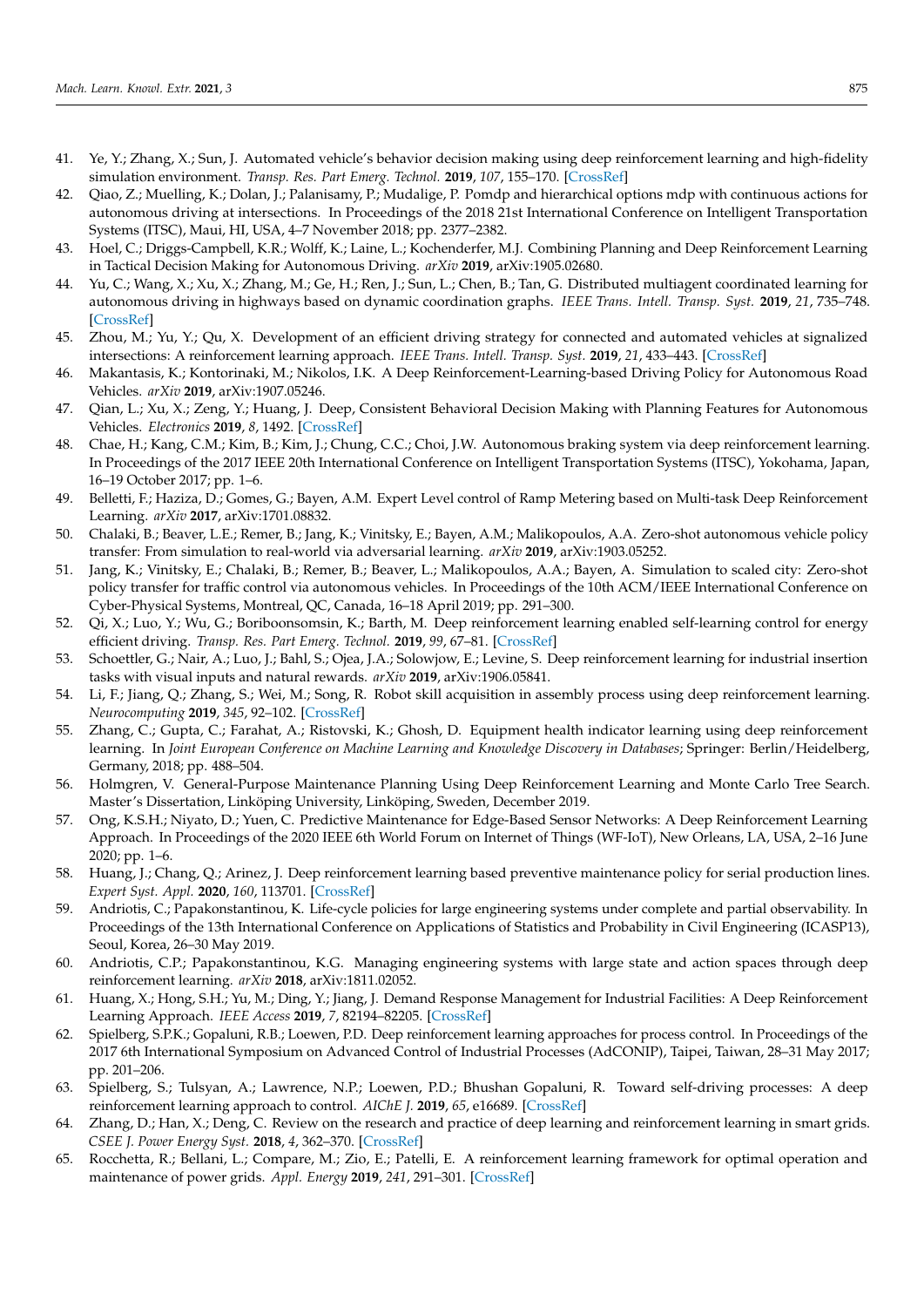- <span id="page-12-0"></span>41. Ye, Y.; Zhang, X.; Sun, J. Automated vehicle's behavior decision making using deep reinforcement learning and high-fidelity simulation environment. *Transp. Res. Part Emerg. Technol.* **2019**, *107*, 155–170. [\[CrossRef\]](http://dx.doi.org/10.1016/j.trc.2019.08.011)
- <span id="page-12-1"></span>42. Qiao, Z.; Muelling, K.; Dolan, J.; Palanisamy, P.; Mudalige, P. Pomdp and hierarchical options mdp with continuous actions for autonomous driving at intersections. In Proceedings of the 2018 21st International Conference on Intelligent Transportation Systems (ITSC), Maui, HI, USA, 4–7 November 2018; pp. 2377–2382.
- <span id="page-12-2"></span>43. Hoel, C.; Driggs-Campbell, K.R.; Wolff, K.; Laine, L.; Kochenderfer, M.J. Combining Planning and Deep Reinforcement Learning in Tactical Decision Making for Autonomous Driving. *arXiv* **2019**, arXiv:1905.02680.
- <span id="page-12-3"></span>44. Yu, C.; Wang, X.; Xu, X.; Zhang, M.; Ge, H.; Ren, J.; Sun, L.; Chen, B.; Tan, G. Distributed multiagent coordinated learning for autonomous driving in highways based on dynamic coordination graphs. *IEEE Trans. Intell. Transp. Syst.* **2019**, *21*, 735–748. [\[CrossRef\]](http://dx.doi.org/10.1109/TITS.2019.2893683)
- <span id="page-12-4"></span>45. Zhou, M.; Yu, Y.; Qu, X. Development of an efficient driving strategy for connected and automated vehicles at signalized intersections: A reinforcement learning approach. *IEEE Trans. Intell. Transp. Syst.* **2019**, *21*, 433–443. [\[CrossRef\]](http://dx.doi.org/10.1109/TITS.2019.2942014)
- <span id="page-12-5"></span>46. Makantasis, K.; Kontorinaki, M.; Nikolos, I.K. A Deep Reinforcement-Learning-based Driving Policy for Autonomous Road Vehicles. *arXiv* **2019**, arXiv:1907.05246.
- <span id="page-12-6"></span>47. Qian, L.; Xu, X.; Zeng, Y.; Huang, J. Deep, Consistent Behavioral Decision Making with Planning Features for Autonomous Vehicles. *Electronics* **2019**, *8*, 1492. [\[CrossRef\]](http://dx.doi.org/10.3390/electronics8121492)
- <span id="page-12-7"></span>48. Chae, H.; Kang, C.M.; Kim, B.; Kim, J.; Chung, C.C.; Choi, J.W. Autonomous braking system via deep reinforcement learning. In Proceedings of the 2017 IEEE 20th International Conference on Intelligent Transportation Systems (ITSC), Yokohama, Japan, 16–19 October 2017; pp. 1–6.
- <span id="page-12-8"></span>49. Belletti, F.; Haziza, D.; Gomes, G.; Bayen, A.M. Expert Level control of Ramp Metering based on Multi-task Deep Reinforcement Learning. *arXiv* **2017**, arXiv:1701.08832.
- <span id="page-12-9"></span>50. Chalaki, B.; Beaver, L.E.; Remer, B.; Jang, K.; Vinitsky, E.; Bayen, A.M.; Malikopoulos, A.A. Zero-shot autonomous vehicle policy transfer: From simulation to real-world via adversarial learning. *arXiv* **2019**, arXiv:1903.05252.
- <span id="page-12-10"></span>51. Jang, K.; Vinitsky, E.; Chalaki, B.; Remer, B.; Beaver, L.; Malikopoulos, A.A.; Bayen, A. Simulation to scaled city: Zero-shot policy transfer for traffic control via autonomous vehicles. In Proceedings of the 10th ACM/IEEE International Conference on Cyber-Physical Systems, Montreal, QC, Canada, 16–18 April 2019; pp. 291–300.
- <span id="page-12-11"></span>52. Qi, X.; Luo, Y.; Wu, G.; Boriboonsomsin, K.; Barth, M. Deep reinforcement learning enabled self-learning control for energy efficient driving. *Transp. Res. Part Emerg. Technol.* **2019**, *99*, 67–81. [\[CrossRef\]](http://dx.doi.org/10.1016/j.trc.2018.12.018)
- <span id="page-12-12"></span>53. Schoettler, G.; Nair, A.; Luo, J.; Bahl, S.; Ojea, J.A.; Solowjow, E.; Levine, S. Deep reinforcement learning for industrial insertion tasks with visual inputs and natural rewards. *arXiv* **2019**, arXiv:1906.05841.
- <span id="page-12-13"></span>54. Li, F.; Jiang, Q.; Zhang, S.; Wei, M.; Song, R. Robot skill acquisition in assembly process using deep reinforcement learning. *Neurocomputing* **2019**, *345*, 92–102. [\[CrossRef\]](http://dx.doi.org/10.1016/j.neucom.2019.01.087)
- <span id="page-12-14"></span>55. Zhang, C.; Gupta, C.; Farahat, A.; Ristovski, K.; Ghosh, D. Equipment health indicator learning using deep reinforcement learning. In *Joint European Conference on Machine Learning and Knowledge Discovery in Databases*; Springer: Berlin/Heidelberg, Germany, 2018; pp. 488–504.
- <span id="page-12-15"></span>56. Holmgren, V. General-Purpose Maintenance Planning Using Deep Reinforcement Learning and Monte Carlo Tree Search. Master's Dissertation, Linköping University, Linköping, Sweden, December 2019.
- <span id="page-12-16"></span>57. Ong, K.S.H.; Niyato, D.; Yuen, C. Predictive Maintenance for Edge-Based Sensor Networks: A Deep Reinforcement Learning Approach. In Proceedings of the 2020 IEEE 6th World Forum on Internet of Things (WF-IoT), New Orleans, LA, USA, 2–16 June 2020; pp. 1–6.
- <span id="page-12-17"></span>58. Huang, J.; Chang, Q.; Arinez, J. Deep reinforcement learning based preventive maintenance policy for serial production lines. *Expert Syst. Appl.* **2020**, *160*, 113701. [\[CrossRef\]](http://dx.doi.org/10.1016/j.eswa.2020.113701)
- <span id="page-12-18"></span>59. Andriotis, C.; Papakonstantinou, K. Life-cycle policies for large engineering systems under complete and partial observability. In Proceedings of the 13th International Conference on Applications of Statistics and Probability in Civil Engineering (ICASP13), Seoul, Korea, 26–30 May 2019.
- <span id="page-12-19"></span>60. Andriotis, C.P.; Papakonstantinou, K.G. Managing engineering systems with large state and action spaces through deep reinforcement learning. *arXiv* **2018**, arXiv:1811.02052.
- <span id="page-12-20"></span>61. Huang, X.; Hong, S.H.; Yu, M.; Ding, Y.; Jiang, J. Demand Response Management for Industrial Facilities: A Deep Reinforcement Learning Approach. *IEEE Access* **2019**, *7*, 82194–82205. [\[CrossRef\]](http://dx.doi.org/10.1109/ACCESS.2019.2924030)
- <span id="page-12-21"></span>62. Spielberg, S.P.K.; Gopaluni, R.B.; Loewen, P.D. Deep reinforcement learning approaches for process control. In Proceedings of the 2017 6th International Symposium on Advanced Control of Industrial Processes (AdCONIP), Taipei, Taiwan, 28–31 May 2017; pp. 201–206.
- <span id="page-12-22"></span>63. Spielberg, S.; Tulsyan, A.; Lawrence, N.P.; Loewen, P.D.; Bhushan Gopaluni, R. Toward self-driving processes: A deep reinforcement learning approach to control. *AIChE J.* **2019**, *65*, e16689. [\[CrossRef\]](http://dx.doi.org/10.1002/aic.16689)
- <span id="page-12-23"></span>64. Zhang, D.; Han, X.; Deng, C. Review on the research and practice of deep learning and reinforcement learning in smart grids. *CSEE J. Power Energy Syst.* **2018**, *4*, 362–370. [\[CrossRef\]](http://dx.doi.org/10.17775/CSEEJPES.2018.00520)
- <span id="page-12-24"></span>65. Rocchetta, R.; Bellani, L.; Compare, M.; Zio, E.; Patelli, E. A reinforcement learning framework for optimal operation and maintenance of power grids. *Appl. Energy* **2019**, *241*, 291–301. [\[CrossRef\]](http://dx.doi.org/10.1016/j.apenergy.2019.03.027)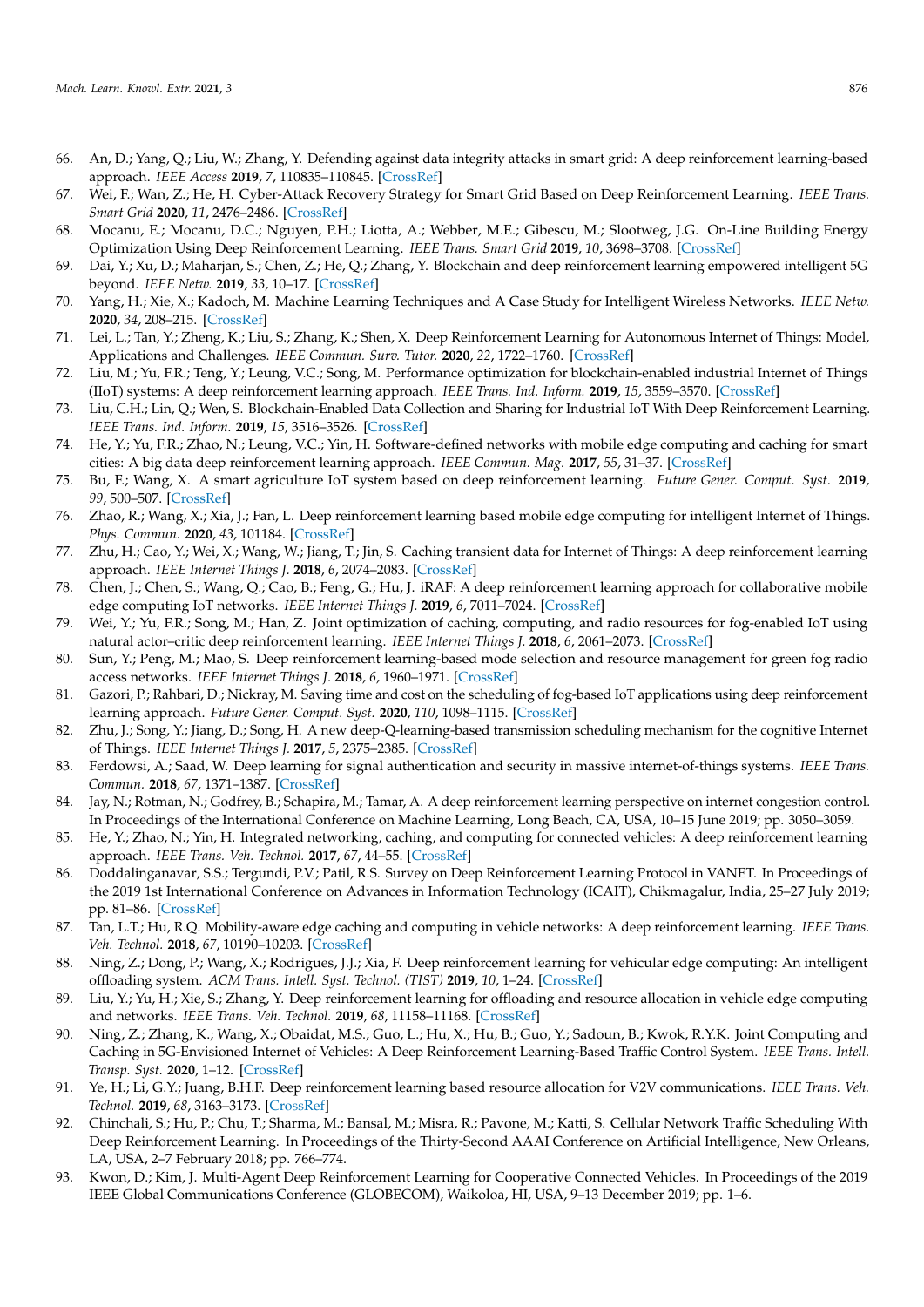- <span id="page-13-0"></span>66. An, D.; Yang, Q.; Liu, W.; Zhang, Y. Defending against data integrity attacks in smart grid: A deep reinforcement learning-based approach. *IEEE Access* **2019**, *7*, 110835–110845. [\[CrossRef\]](http://dx.doi.org/10.1109/ACCESS.2019.2933020)
- <span id="page-13-1"></span>67. Wei, F.; Wan, Z.; He, H. Cyber-Attack Recovery Strategy for Smart Grid Based on Deep Reinforcement Learning. *IEEE Trans. Smart Grid* **2020**, *11*, 2476–2486. [\[CrossRef\]](http://dx.doi.org/10.1109/TSG.2019.2956161)
- <span id="page-13-2"></span>68. Mocanu, E.; Mocanu, D.C.; Nguyen, P.H.; Liotta, A.; Webber, M.E.; Gibescu, M.; Slootweg, J.G. On-Line Building Energy Optimization Using Deep Reinforcement Learning. *IEEE Trans. Smart Grid* **2019**, *10*, 3698–3708. [\[CrossRef\]](http://dx.doi.org/10.1109/TSG.2018.2834219)
- <span id="page-13-3"></span>69. Dai, Y.; Xu, D.; Maharjan, S.; Chen, Z.; He, Q.; Zhang, Y. Blockchain and deep reinforcement learning empowered intelligent 5G beyond. *IEEE Netw.* **2019**, *33*, 10–17. [\[CrossRef\]](http://dx.doi.org/10.1109/MNET.2019.1800376)
- <span id="page-13-4"></span>70. Yang, H.; Xie, X.; Kadoch, M. Machine Learning Techniques and A Case Study for Intelligent Wireless Networks. *IEEE Netw.* **2020**, *34*, 208–215. [\[CrossRef\]](http://dx.doi.org/10.1109/MNET.001.1900351)
- <span id="page-13-5"></span>71. Lei, L.; Tan, Y.; Zheng, K.; Liu, S.; Zhang, K.; Shen, X. Deep Reinforcement Learning for Autonomous Internet of Things: Model, Applications and Challenges. *IEEE Commun. Surv. Tutor.* **2020**, *22*, 1722–1760. [\[CrossRef\]](http://dx.doi.org/10.1109/COMST.2020.2988367)
- <span id="page-13-6"></span>72. Liu, M.; Yu, F.R.; Teng, Y.; Leung, V.C.; Song, M. Performance optimization for blockchain-enabled industrial Internet of Things (IIoT) systems: A deep reinforcement learning approach. *IEEE Trans. Ind. Inform.* **2019**, *15*, 3559–3570. [\[CrossRef\]](http://dx.doi.org/10.1109/TII.2019.2897805)
- <span id="page-13-7"></span>73. Liu, C.H.; Lin, Q.; Wen, S. Blockchain-Enabled Data Collection and Sharing for Industrial IoT With Deep Reinforcement Learning. *IEEE Trans. Ind. Inform.* **2019**, *15*, 3516–3526. [\[CrossRef\]](http://dx.doi.org/10.1109/TII.2018.2890203)
- <span id="page-13-8"></span>74. He, Y.; Yu, F.R.; Zhao, N.; Leung, V.C.; Yin, H. Software-defined networks with mobile edge computing and caching for smart cities: A big data deep reinforcement learning approach. *IEEE Commun. Mag.* **2017**, *55*, 31–37. [\[CrossRef\]](http://dx.doi.org/10.1109/MCOM.2017.1700246)
- 75. Bu, F.; Wang, X. A smart agriculture IoT system based on deep reinforcement learning. *Future Gener. Comput. Syst.* **2019**, *99*, 500–507. [\[CrossRef\]](http://dx.doi.org/10.1016/j.future.2019.04.041)
- <span id="page-13-9"></span>76. Zhao, R.; Wang, X.; Xia, J.; Fan, L. Deep reinforcement learning based mobile edge computing for intelligent Internet of Things. *Phys. Commun.* **2020**, *43*, 101184. [\[CrossRef\]](http://dx.doi.org/10.1016/j.phycom.2020.101184)
- <span id="page-13-10"></span>77. Zhu, H.; Cao, Y.; Wei, X.; Wang, W.; Jiang, T.; Jin, S. Caching transient data for Internet of Things: A deep reinforcement learning approach. *IEEE Internet Things J.* **2018**, *6*, 2074–2083. [\[CrossRef\]](http://dx.doi.org/10.1109/JIOT.2018.2882583)
- <span id="page-13-11"></span>78. Chen, J.; Chen, S.; Wang, Q.; Cao, B.; Feng, G.; Hu, J. iRAF: A deep reinforcement learning approach for collaborative mobile edge computing IoT networks. *IEEE Internet Things J.* **2019**, *6*, 7011–7024. [\[CrossRef\]](http://dx.doi.org/10.1109/JIOT.2019.2913162)
- <span id="page-13-12"></span>79. Wei, Y.; Yu, F.R.; Song, M.; Han, Z. Joint optimization of caching, computing, and radio resources for fog-enabled IoT using natural actor–critic deep reinforcement learning. *IEEE Internet Things J.* **2018**, *6*, 2061–2073. [\[CrossRef\]](http://dx.doi.org/10.1109/JIOT.2018.2878435)
- 80. Sun, Y.; Peng, M.; Mao, S. Deep reinforcement learning-based mode selection and resource management for green fog radio access networks. *IEEE Internet Things J.* **2018**, *6*, 1960–1971. [\[CrossRef\]](http://dx.doi.org/10.1109/JIOT.2018.2871020)
- <span id="page-13-13"></span>81. Gazori, P.; Rahbari, D.; Nickray, M. Saving time and cost on the scheduling of fog-based IoT applications using deep reinforcement learning approach. *Future Gener. Comput. Syst.* **2020**, *110*, 1098–1115. [\[CrossRef\]](http://dx.doi.org/10.1016/j.future.2019.09.060)
- <span id="page-13-14"></span>82. Zhu, J.; Song, Y.; Jiang, D.; Song, H. A new deep-Q-learning-based transmission scheduling mechanism for the cognitive Internet of Things. *IEEE Internet Things J.* **2017**, *5*, 2375–2385. [\[CrossRef\]](http://dx.doi.org/10.1109/JIOT.2017.2759728)
- <span id="page-13-15"></span>83. Ferdowsi, A.; Saad, W. Deep learning for signal authentication and security in massive internet-of-things systems. *IEEE Trans. Commun.* **2018**, *67*, 1371–1387. [\[CrossRef\]](http://dx.doi.org/10.1109/TCOMM.2018.2878025)
- <span id="page-13-16"></span>84. Jay, N.; Rotman, N.; Godfrey, B.; Schapira, M.; Tamar, A. A deep reinforcement learning perspective on internet congestion control. In Proceedings of the International Conference on Machine Learning, Long Beach, CA, USA, 10–15 June 2019; pp. 3050–3059.
- <span id="page-13-17"></span>85. He, Y.; Zhao, N.; Yin, H. Integrated networking, caching, and computing for connected vehicles: A deep reinforcement learning approach. *IEEE Trans. Veh. Technol.* **2017**, *67*, 44–55. [\[CrossRef\]](http://dx.doi.org/10.1109/TVT.2017.2760281)
- <span id="page-13-18"></span>86. Doddalinganavar, S.S.; Tergundi, P.V.; Patil, R.S. Survey on Deep Reinforcement Learning Protocol in VANET. In Proceedings of the 2019 1st International Conference on Advances in Information Technology (ICAIT), Chikmagalur, India, 25–27 July 2019; pp. 81–86. [\[CrossRef\]](http://dx.doi.org/10.1109/ICAIT47043.2019.8987282)
- <span id="page-13-19"></span>87. Tan, L.T.; Hu, R.Q. Mobility-aware edge caching and computing in vehicle networks: A deep reinforcement learning. *IEEE Trans. Veh. Technol.* **2018**, *67*, 10190–10203. [\[CrossRef\]](http://dx.doi.org/10.1109/TVT.2018.2867191)
- <span id="page-13-20"></span>88. Ning, Z.; Dong, P.; Wang, X.; Rodrigues, J.J.; Xia, F. Deep reinforcement learning for vehicular edge computing: An intelligent offloading system. *ACM Trans. Intell. Syst. Technol. (TIST)* **2019**, *10*, 1–24. [\[CrossRef\]](http://dx.doi.org/10.1145/3317572)
- <span id="page-13-21"></span>89. Liu, Y.; Yu, H.; Xie, S.; Zhang, Y. Deep reinforcement learning for offloading and resource allocation in vehicle edge computing and networks. *IEEE Trans. Veh. Technol.* **2019**, *68*, 11158–11168. [\[CrossRef\]](http://dx.doi.org/10.1109/TVT.2019.2935450)
- <span id="page-13-22"></span>90. Ning, Z.; Zhang, K.; Wang, X.; Obaidat, M.S.; Guo, L.; Hu, X.; Hu, B.; Guo, Y.; Sadoun, B.; Kwok, R.Y.K. Joint Computing and Caching in 5G-Envisioned Internet of Vehicles: A Deep Reinforcement Learning-Based Traffic Control System. *IEEE Trans. Intell. Transp. Syst.* **2020**, 1–12. [\[CrossRef\]](http://dx.doi.org/10.1109/TITS.2020.2970276)
- <span id="page-13-23"></span>91. Ye, H.; Li, G.Y.; Juang, B.H.F. Deep reinforcement learning based resource allocation for V2V communications. *IEEE Trans. Veh. Technol.* **2019**, *68*, 3163–3173. [\[CrossRef\]](http://dx.doi.org/10.1109/TVT.2019.2897134)
- <span id="page-13-24"></span>92. Chinchali, S.; Hu, P.; Chu, T.; Sharma, M.; Bansal, M.; Misra, R.; Pavone, M.; Katti, S. Cellular Network Traffic Scheduling With Deep Reinforcement Learning. In Proceedings of the Thirty-Second AAAI Conference on Artificial Intelligence, New Orleans, LA, USA, 2–7 February 2018; pp. 766–774.
- <span id="page-13-25"></span>93. Kwon, D.; Kim, J. Multi-Agent Deep Reinforcement Learning for Cooperative Connected Vehicles. In Proceedings of the 2019 IEEE Global Communications Conference (GLOBECOM), Waikoloa, HI, USA, 9–13 December 2019; pp. 1–6.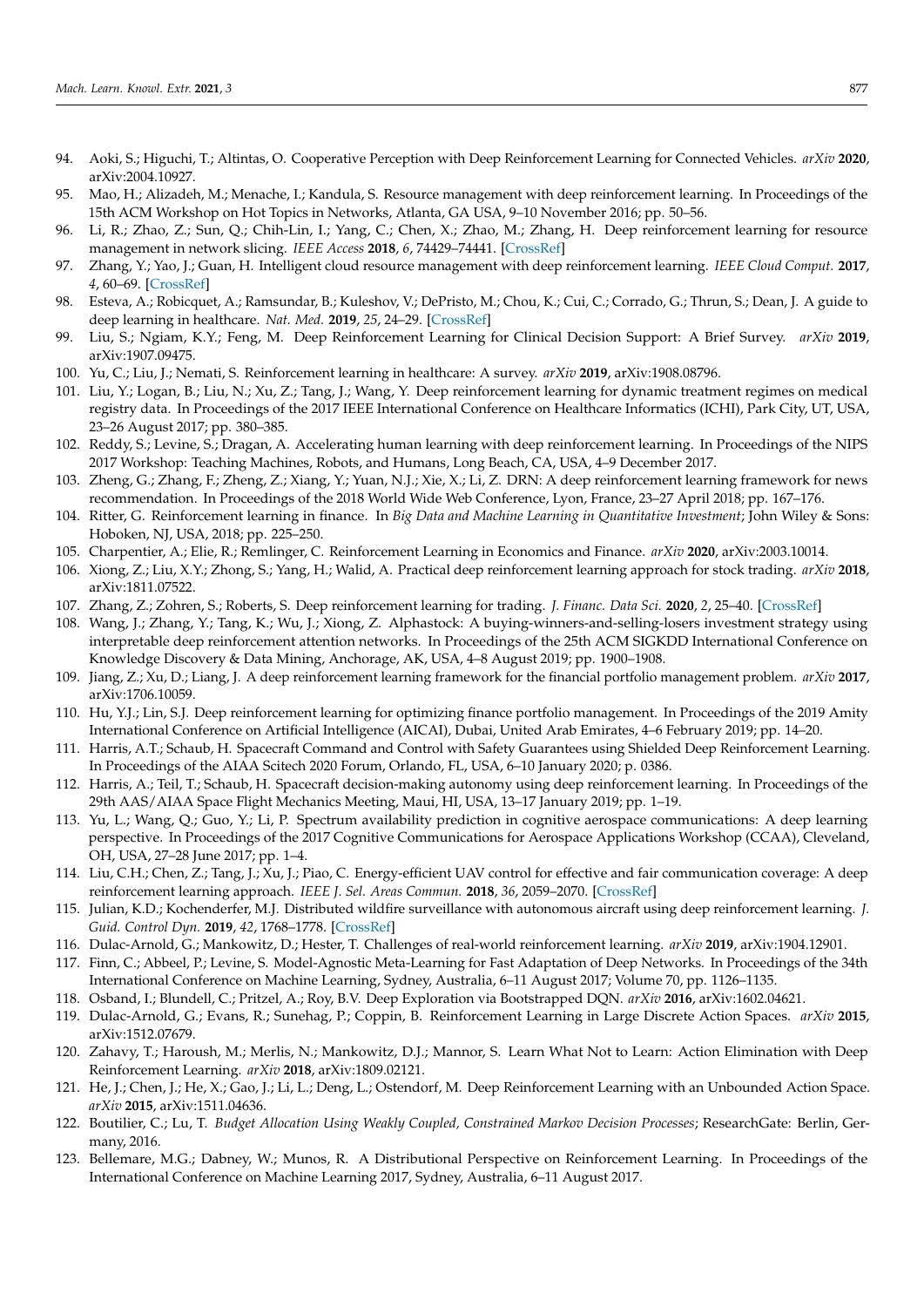- <span id="page-14-0"></span>94. Aoki, S.; Higuchi, T.; Altintas, O. Cooperative Perception with Deep Reinforcement Learning for Connected Vehicles. *arXiv* **2020**, arXiv:2004.10927.
- <span id="page-14-1"></span>95. Mao, H.; Alizadeh, M.; Menache, I.; Kandula, S. Resource management with deep reinforcement learning. In Proceedings of the 15th ACM Workshop on Hot Topics in Networks, Atlanta, GA USA, 9–10 November 2016; pp. 50–56.
- <span id="page-14-2"></span>96. Li, R.; Zhao, Z.; Sun, Q.; Chih-Lin, I.; Yang, C.; Chen, X.; Zhao, M.; Zhang, H. Deep reinforcement learning for resource management in network slicing. *IEEE Access* **2018**, *6*, 74429–74441. [\[CrossRef\]](http://dx.doi.org/10.1109/ACCESS.2018.2881964)
- <span id="page-14-3"></span>97. Zhang, Y.; Yao, J.; Guan, H. Intelligent cloud resource management with deep reinforcement learning. *IEEE Cloud Comput.* **2017**, *4*, 60–69. [\[CrossRef\]](http://dx.doi.org/10.1109/MCC.2018.1081063)
- <span id="page-14-4"></span>98. Esteva, A.; Robicquet, A.; Ramsundar, B.; Kuleshov, V.; DePristo, M.; Chou, K.; Cui, C.; Corrado, G.; Thrun, S.; Dean, J. A guide to deep learning in healthcare. *Nat. Med.* **2019**, *25*, 24–29. [\[CrossRef\]](http://dx.doi.org/10.1038/s41591-018-0316-z)
- <span id="page-14-5"></span>99. Liu, S.; Ngiam, K.Y.; Feng, M. Deep Reinforcement Learning for Clinical Decision Support: A Brief Survey. *arXiv* **2019**, arXiv:1907.09475.
- <span id="page-14-6"></span>100. Yu, C.; Liu, J.; Nemati, S. Reinforcement learning in healthcare: A survey. *arXiv* **2019**, arXiv:1908.08796.
- <span id="page-14-7"></span>101. Liu, Y.; Logan, B.; Liu, N.; Xu, Z.; Tang, J.; Wang, Y. Deep reinforcement learning for dynamic treatment regimes on medical registry data. In Proceedings of the 2017 IEEE International Conference on Healthcare Informatics (ICHI), Park City, UT, USA, 23–26 August 2017; pp. 380–385.
- <span id="page-14-8"></span>102. Reddy, S.; Levine, S.; Dragan, A. Accelerating human learning with deep reinforcement learning. In Proceedings of the NIPS 2017 Workshop: Teaching Machines, Robots, and Humans, Long Beach, CA, USA, 4–9 December 2017.
- <span id="page-14-9"></span>103. Zheng, G.; Zhang, F.; Zheng, Z.; Xiang, Y.; Yuan, N.J.; Xie, X.; Li, Z. DRN: A deep reinforcement learning framework for news recommendation. In Proceedings of the 2018 World Wide Web Conference, Lyon, France, 23–27 April 2018; pp. 167–176.
- <span id="page-14-10"></span>104. Ritter, G. Reinforcement learning in finance. In *Big Data and Machine Learning in Quantitative Investment*; John Wiley & Sons: Hoboken, NJ, USA, 2018; pp. 225–250.
- <span id="page-14-11"></span>105. Charpentier, A.; Elie, R.; Remlinger, C. Reinforcement Learning in Economics and Finance. *arXiv* **2020**, arXiv:2003.10014.
- <span id="page-14-12"></span>106. Xiong, Z.; Liu, X.Y.; Zhong, S.; Yang, H.; Walid, A. Practical deep reinforcement learning approach for stock trading. *arXiv* **2018**, arXiv:1811.07522.
- <span id="page-14-13"></span>107. Zhang, Z.; Zohren, S.; Roberts, S. Deep reinforcement learning for trading. *J. Financ. Data Sci.* **2020**, *2*, 25–40. [\[CrossRef\]](http://dx.doi.org/10.3905/jfds.2020.1.030)
- <span id="page-14-14"></span>108. Wang, J.; Zhang, Y.; Tang, K.; Wu, J.; Xiong, Z. Alphastock: A buying-winners-and-selling-losers investment strategy using interpretable deep reinforcement attention networks. In Proceedings of the 25th ACM SIGKDD International Conference on Knowledge Discovery & Data Mining, Anchorage, AK, USA, 4–8 August 2019; pp. 1900–1908.
- <span id="page-14-15"></span>109. Jiang, Z.; Xu, D.; Liang, J. A deep reinforcement learning framework for the financial portfolio management problem. *arXiv* **2017**, arXiv:1706.10059.
- <span id="page-14-16"></span>110. Hu, Y.J.; Lin, S.J. Deep reinforcement learning for optimizing finance portfolio management. In Proceedings of the 2019 Amity International Conference on Artificial Intelligence (AICAI), Dubai, United Arab Emirates, 4–6 February 2019; pp. 14–20.
- <span id="page-14-17"></span>111. Harris, A.T.; Schaub, H. Spacecraft Command and Control with Safety Guarantees using Shielded Deep Reinforcement Learning. In Proceedings of the AIAA Scitech 2020 Forum, Orlando, FL, USA, 6–10 January 2020; p. 0386.
- <span id="page-14-18"></span>112. Harris, A.; Teil, T.; Schaub, H. Spacecraft decision-making autonomy using deep reinforcement learning. In Proceedings of the 29th AAS/AIAA Space Flight Mechanics Meeting, Maui, HI, USA, 13–17 January 2019; pp. 1–19.
- <span id="page-14-19"></span>113. Yu, L.; Wang, Q.; Guo, Y.; Li, P. Spectrum availability prediction in cognitive aerospace communications: A deep learning perspective. In Proceedings of the 2017 Cognitive Communications for Aerospace Applications Workshop (CCAA), Cleveland, OH, USA, 27–28 June 2017; pp. 1–4.
- <span id="page-14-20"></span>114. Liu, C.H.; Chen, Z.; Tang, J.; Xu, J.; Piao, C. Energy-efficient UAV control for effective and fair communication coverage: A deep reinforcement learning approach. *IEEE J. Sel. Areas Commun.* **2018**, *36*, 2059–2070. [\[CrossRef\]](http://dx.doi.org/10.1109/JSAC.2018.2864373)
- <span id="page-14-21"></span>115. Julian, K.D.; Kochenderfer, M.J. Distributed wildfire surveillance with autonomous aircraft using deep reinforcement learning. *J. Guid. Control Dyn.* **2019**, *42*, 1768–1778. [\[CrossRef\]](http://dx.doi.org/10.2514/1.G004106)
- <span id="page-14-22"></span>116. Dulac-Arnold, G.; Mankowitz, D.; Hester, T. Challenges of real-world reinforcement learning. *arXiv* **2019**, arXiv:1904.12901.
- <span id="page-14-23"></span>117. Finn, C.; Abbeel, P.; Levine, S. Model-Agnostic Meta-Learning for Fast Adaptation of Deep Networks. In Proceedings of the 34th International Conference on Machine Learning, Sydney, Australia, 6–11 August 2017; Volume 70, pp. 1126–1135.
- <span id="page-14-24"></span>118. Osband, I.; Blundell, C.; Pritzel, A.; Roy, B.V. Deep Exploration via Bootstrapped DQN. *arXiv* **2016**, arXiv:1602.04621.
- <span id="page-14-25"></span>119. Dulac-Arnold, G.; Evans, R.; Sunehag, P.; Coppin, B. Reinforcement Learning in Large Discrete Action Spaces. *arXiv* **2015**, arXiv:1512.07679.
- <span id="page-14-26"></span>120. Zahavy, T.; Haroush, M.; Merlis, N.; Mankowitz, D.J.; Mannor, S. Learn What Not to Learn: Action Elimination with Deep Reinforcement Learning. *arXiv* **2018**, arXiv:1809.02121.
- <span id="page-14-27"></span>121. He, J.; Chen, J.; He, X.; Gao, J.; Li, L.; Deng, L.; Ostendorf, M. Deep Reinforcement Learning with an Unbounded Action Space. *arXiv* **2015**, arXiv:1511.04636.
- <span id="page-14-28"></span>122. Boutilier, C.; Lu, T. *Budget Allocation Using Weakly Coupled, Constrained Markov Decision Processes*; ResearchGate: Berlin, Germany, 2016.
- <span id="page-14-29"></span>123. Bellemare, M.G.; Dabney, W.; Munos, R. A Distributional Perspective on Reinforcement Learning. In Proceedings of the International Conference on Machine Learning 2017, Sydney, Australia, 6–11 August 2017.